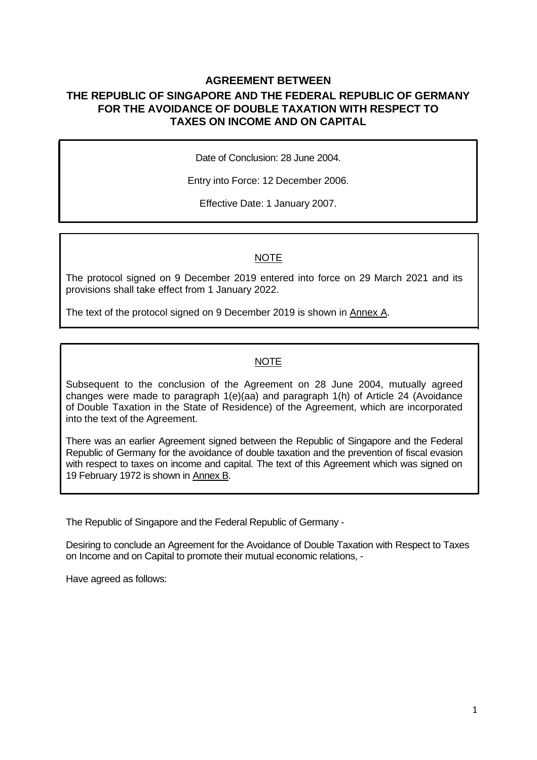# **AGREEMENT BETWEEN THE REPUBLIC OF SINGAPORE AND THE FEDERAL REPUBLIC OF GERMANY FOR THE AVOIDANCE OF DOUBLE TAXATION WITH RESPECT TO TAXES ON INCOME AND ON CAPITAL**

Date of Conclusion: 28 June 2004.

Entry into Force: 12 December 2006.

Effective Date: 1 January 2007.

# NOTE

The protocol signed on 9 December 2019 entered into force on 29 March 2021 and its provisions shall take effect from 1 January 2022.

The text of the protocol signed on 9 December 2019 is shown in Annex A.

## NOTE

Subsequent to the conclusion of the Agreement on 28 June 2004, mutually agreed changes were made to paragraph 1(e)(aa) and paragraph 1(h) of Article 24 (Avoidance of Double Taxation in the State of Residence) of the Agreement, which are incorporated into the text of the Agreement.

There was an earlier Agreement signed between the Republic of Singapore and the Federal Republic of Germany for the avoidance of double taxation and the prevention of fiscal evasion with respect to taxes on income and capital. The text of this Agreement which was signed on 19 February 1972 is shown in Annex B.

The Republic of Singapore and the Federal Republic of Germany -

Desiring to conclude an Agreement for the Avoidance of Double Taxation with Respect to Taxes on Income and on Capital to promote their mutual economic relations, -

Have agreed as follows: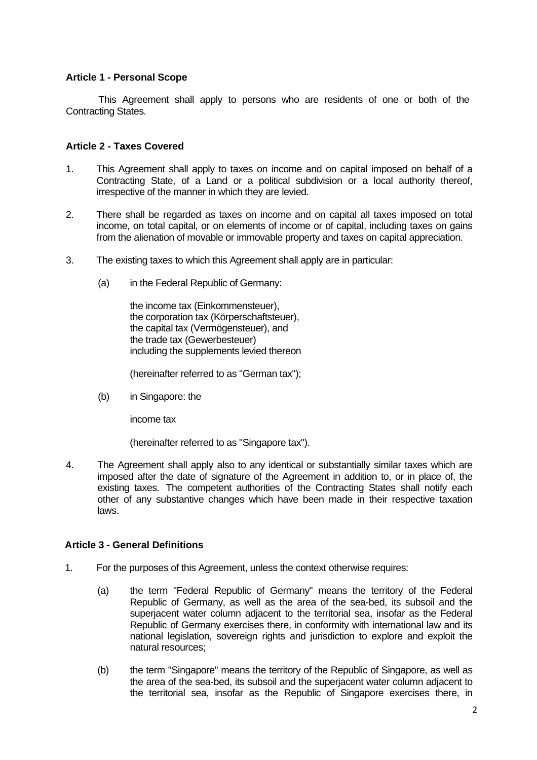## **Article 1 - Personal Scope**

This Agreement shall apply to persons who are residents of one or both of the Contracting States.

#### **Article 2 - Taxes Covered**

- 1. This Agreement shall apply to taxes on income and on capital imposed on behalf of a Contracting State, of a Land or a political subdivision or a local authority thereof, irrespective of the manner in which they are levied.
- 2. There shall be regarded as taxes on income and on capital all taxes imposed on total income, on total capital, or on elements of income or of capital, including taxes on gains from the alienation of movable or immovable property and taxes on capital appreciation.
- 3. The existing taxes to which this Agreement shall apply are in particular:
	- (a) in the Federal Republic of Germany:

the income tax (Einkommensteuer), the corporation tax (Körperschaftsteuer), the capital tax (Vermögensteuer), and the trade tax (Gewerbesteuer) including the supplements levied thereon

(hereinafter referred to as "German tax");

(b) in Singapore: the

income tax

(hereinafter referred to as "Singapore tax").

4. The Agreement shall apply also to any identical or substantially similar taxes which are imposed after the date of signature of the Agreement in addition to, or in place of, the existing taxes. The competent authorities of the Contracting States shall notify each other of any substantive changes which have been made in their respective taxation laws.

#### **Article 3 - General Definitions**

- 1. For the purposes of this Agreement, unless the context otherwise requires:
	- (a) the term "Federal Republic of Germany" means the territory of the Federal Republic of Germany, as well as the area of the sea-bed, its subsoil and the superjacent water column adjacent to the territorial sea, insofar as the Federal Republic of Germany exercises there, in conformity with international law and its national legislation, sovereign rights and jurisdiction to explore and exploit the natural resources;
	- (b) the term "Singapore" means the territory of the Republic of Singapore, as well as the area of the sea-bed, its subsoil and the superjacent water column adjacent to the territorial sea, insofar as the Republic of Singapore exercises there, in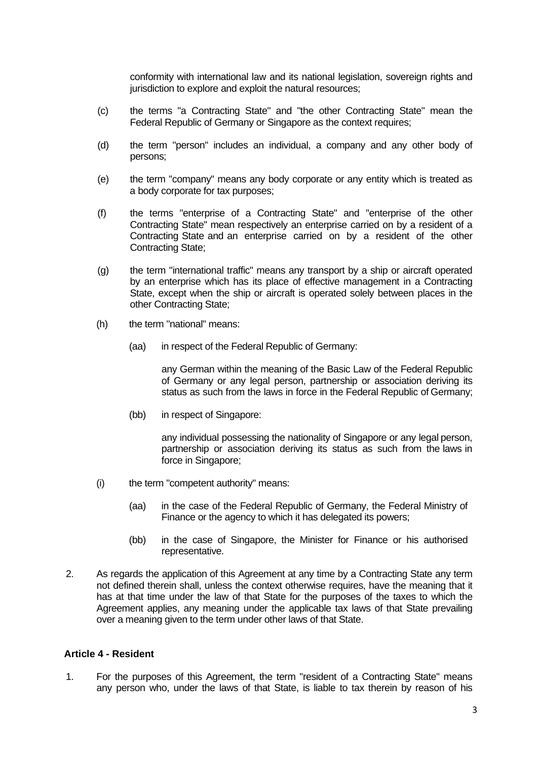conformity with international law and its national legislation, sovereign rights and jurisdiction to explore and exploit the natural resources;

- (c) the terms "a Contracting State" and "the other Contracting State" mean the Federal Republic of Germany or Singapore as the context requires;
- (d) the term "person" includes an individual, a company and any other body of persons;
- (e) the term "company" means any body corporate or any entity which is treated as a body corporate for tax purposes;
- (f) the terms "enterprise of a Contracting State" and "enterprise of the other Contracting State" mean respectively an enterprise carried on by a resident of a Contracting State and an enterprise carried on by a resident of the other Contracting State;
- (g) the term "international traffic" means any transport by a ship or aircraft operated by an enterprise which has its place of effective management in a Contracting State, except when the ship or aircraft is operated solely between places in the other Contracting State;
- (h) the term "national" means:
	- (aa) in respect of the Federal Republic of Germany:

any German within the meaning of the Basic Law of the Federal Republic of Germany or any legal person, partnership or association deriving its status as such from the laws in force in the Federal Republic of Germany;

(bb) in respect of Singapore:

any individual possessing the nationality of Singapore or any legal person, partnership or association deriving its status as such from the laws in force in Singapore;

- (i) the term "competent authority" means:
	- (aa) in the case of the Federal Republic of Germany, the Federal Ministry of Finance or the agency to which it has delegated its powers;
	- (bb) in the case of Singapore, the Minister for Finance or his authorised representative.
- 2. As regards the application of this Agreement at any time by a Contracting State any term not defined therein shall, unless the context otherwise requires, have the meaning that it has at that time under the law of that State for the purposes of the taxes to which the Agreement applies, any meaning under the applicable tax laws of that State prevailing over a meaning given to the term under other laws of that State.

#### **Article 4 - Resident**

1. For the purposes of this Agreement, the term "resident of a Contracting State" means any person who, under the laws of that State, is liable to tax therein by reason of his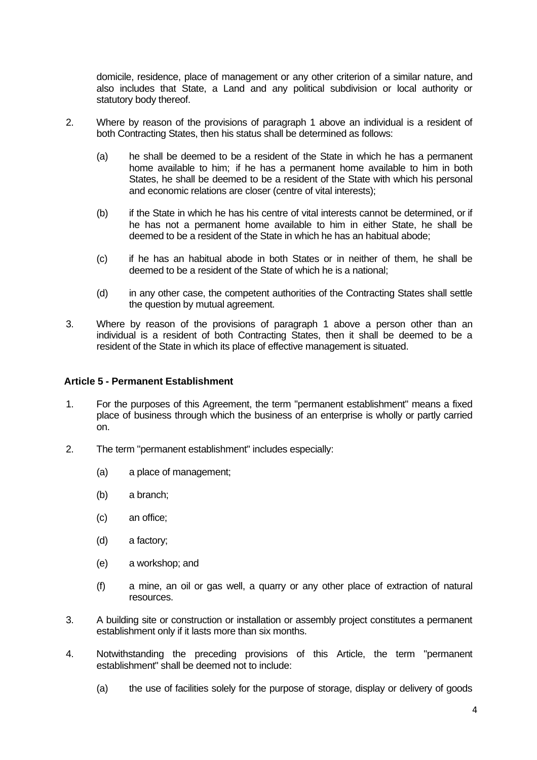domicile, residence, place of management or any other criterion of a similar nature, and also includes that State, a Land and any political subdivision or local authority or statutory body thereof.

- 2. Where by reason of the provisions of paragraph 1 above an individual is a resident of both Contracting States, then his status shall be determined as follows:
	- (a) he shall be deemed to be a resident of the State in which he has a permanent home available to him; if he has a permanent home available to him in both States, he shall be deemed to be a resident of the State with which his personal and economic relations are closer (centre of vital interests);
	- (b) if the State in which he has his centre of vital interests cannot be determined, or if he has not a permanent home available to him in either State, he shall be deemed to be a resident of the State in which he has an habitual abode;
	- (c) if he has an habitual abode in both States or in neither of them, he shall be deemed to be a resident of the State of which he is a national;
	- (d) in any other case, the competent authorities of the Contracting States shall settle the question by mutual agreement.
- 3. Where by reason of the provisions of paragraph 1 above a person other than an individual is a resident of both Contracting States, then it shall be deemed to be a resident of the State in which its place of effective management is situated.

#### **Article 5 - Permanent Establishment**

- 1. For the purposes of this Agreement, the term "permanent establishment" means a fixed place of business through which the business of an enterprise is wholly or partly carried on.
- 2. The term "permanent establishment" includes especially:
	- (a) a place of management;
	- (b) a branch;
	- (c) an office;
	- (d) a factory;
	- (e) a workshop; and
	- (f) a mine, an oil or gas well, a quarry or any other place of extraction of natural resources.
- 3. A building site or construction or installation or assembly project constitutes a permanent establishment only if it lasts more than six months.
- 4. Notwithstanding the preceding provisions of this Article, the term "permanent establishment" shall be deemed not to include:
	- (a) the use of facilities solely for the purpose of storage, display or delivery of goods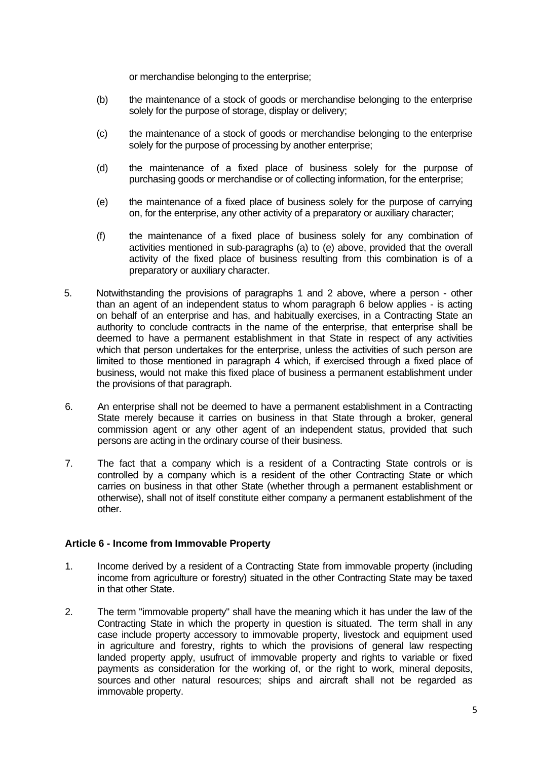or merchandise belonging to the enterprise;

- (b) the maintenance of a stock of goods or merchandise belonging to the enterprise solely for the purpose of storage, display or delivery;
- (c) the maintenance of a stock of goods or merchandise belonging to the enterprise solely for the purpose of processing by another enterprise;
- (d) the maintenance of a fixed place of business solely for the purpose of purchasing goods or merchandise or of collecting information, for the enterprise;
- (e) the maintenance of a fixed place of business solely for the purpose of carrying on, for the enterprise, any other activity of a preparatory or auxiliary character;
- (f) the maintenance of a fixed place of business solely for any combination of activities mentioned in sub-paragraphs (a) to (e) above, provided that the overall activity of the fixed place of business resulting from this combination is of a preparatory or auxiliary character.
- 5. Notwithstanding the provisions of paragraphs 1 and 2 above, where a person other than an agent of an independent status to whom paragraph 6 below applies - is acting on behalf of an enterprise and has, and habitually exercises, in a Contracting State an authority to conclude contracts in the name of the enterprise, that enterprise shall be deemed to have a permanent establishment in that State in respect of any activities which that person undertakes for the enterprise, unless the activities of such person are limited to those mentioned in paragraph 4 which, if exercised through a fixed place of business, would not make this fixed place of business a permanent establishment under the provisions of that paragraph.
- 6. An enterprise shall not be deemed to have a permanent establishment in a Contracting State merely because it carries on business in that State through a broker, general commission agent or any other agent of an independent status, provided that such persons are acting in the ordinary course of their business.
- 7. The fact that a company which is a resident of a Contracting State controls or is controlled by a company which is a resident of the other Contracting State or which carries on business in that other State (whether through a permanent establishment or otherwise), shall not of itself constitute either company a permanent establishment of the other.

## **Article 6 - Income from Immovable Property**

- 1. Income derived by a resident of a Contracting State from immovable property (including income from agriculture or forestry) situated in the other Contracting State may be taxed in that other State.
- 2. The term "immovable property" shall have the meaning which it has under the law of the Contracting State in which the property in question is situated. The term shall in any case include property accessory to immovable property, livestock and equipment used in agriculture and forestry, rights to which the provisions of general law respecting landed property apply, usufruct of immovable property and rights to variable or fixed payments as consideration for the working of, or the right to work, mineral deposits, sources and other natural resources; ships and aircraft shall not be regarded as immovable property.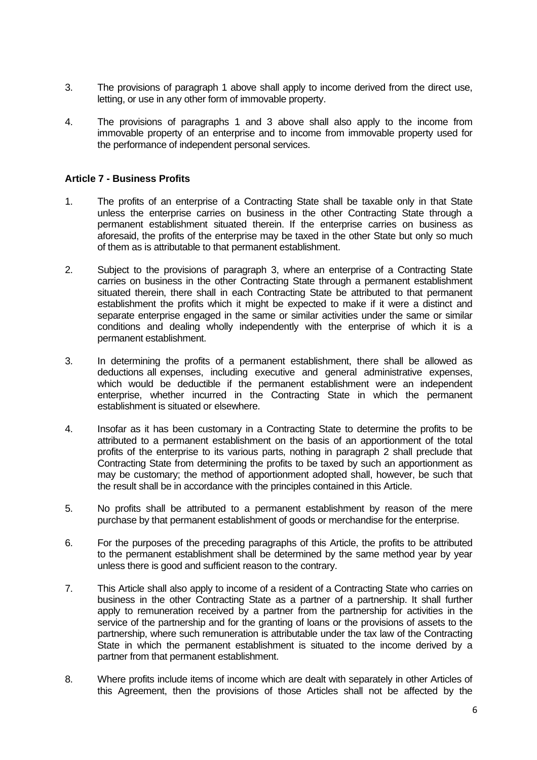- 3. The provisions of paragraph 1 above shall apply to income derived from the direct use, letting, or use in any other form of immovable property.
- 4. The provisions of paragraphs 1 and 3 above shall also apply to the income from immovable property of an enterprise and to income from immovable property used for the performance of independent personal services.

#### **Article 7 - Business Profits**

- 1. The profits of an enterprise of a Contracting State shall be taxable only in that State unless the enterprise carries on business in the other Contracting State through a permanent establishment situated therein. If the enterprise carries on business as aforesaid, the profits of the enterprise may be taxed in the other State but only so much of them as is attributable to that permanent establishment.
- 2. Subject to the provisions of paragraph 3, where an enterprise of a Contracting State carries on business in the other Contracting State through a permanent establishment situated therein, there shall in each Contracting State be attributed to that permanent establishment the profits which it might be expected to make if it were a distinct and separate enterprise engaged in the same or similar activities under the same or similar conditions and dealing wholly independently with the enterprise of which it is a permanent establishment.
- 3. In determining the profits of a permanent establishment, there shall be allowed as deductions all expenses, including executive and general administrative expenses, which would be deductible if the permanent establishment were an independent enterprise, whether incurred in the Contracting State in which the permanent establishment is situated or elsewhere.
- 4. Insofar as it has been customary in a Contracting State to determine the profits to be attributed to a permanent establishment on the basis of an apportionment of the total profits of the enterprise to its various parts, nothing in paragraph 2 shall preclude that Contracting State from determining the profits to be taxed by such an apportionment as may be customary; the method of apportionment adopted shall, however, be such that the result shall be in accordance with the principles contained in this Article.
- 5. No profits shall be attributed to a permanent establishment by reason of the mere purchase by that permanent establishment of goods or merchandise for the enterprise.
- 6. For the purposes of the preceding paragraphs of this Article, the profits to be attributed to the permanent establishment shall be determined by the same method year by year unless there is good and sufficient reason to the contrary.
- 7. This Article shall also apply to income of a resident of a Contracting State who carries on business in the other Contracting State as a partner of a partnership. It shall further apply to remuneration received by a partner from the partnership for activities in the service of the partnership and for the granting of loans or the provisions of assets to the partnership, where such remuneration is attributable under the tax law of the Contracting State in which the permanent establishment is situated to the income derived by a partner from that permanent establishment.
- 8. Where profits include items of income which are dealt with separately in other Articles of this Agreement, then the provisions of those Articles shall not be affected by the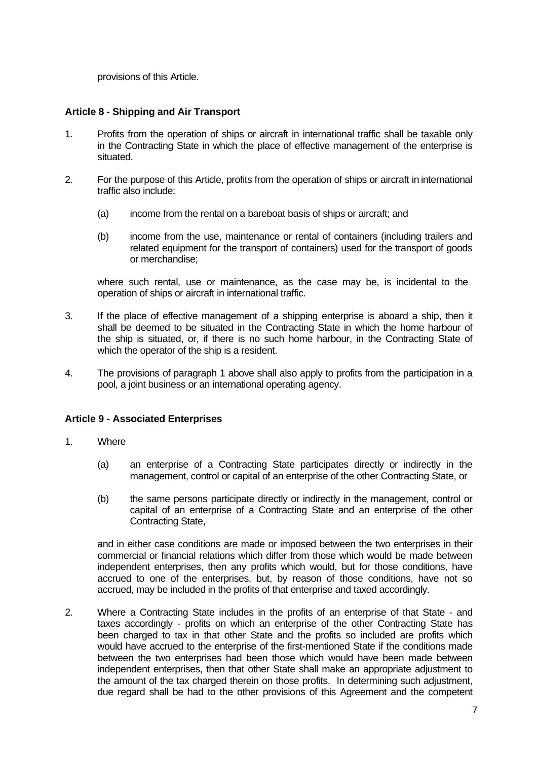provisions of this Article.

## **Article 8 - Shipping and Air Transport**

- 1. Profits from the operation of ships or aircraft in international traffic shall be taxable only in the Contracting State in which the place of effective management of the enterprise is situated.
- 2. For the purpose of this Article, profits from the operation of ships or aircraft in international traffic also include:
	- (a) income from the rental on a bareboat basis of ships or aircraft; and
	- (b) income from the use, maintenance or rental of containers (including trailers and related equipment for the transport of containers) used for the transport of goods or merchandise;

where such rental, use or maintenance, as the case may be, is incidental to the operation of ships or aircraft in international traffic.

- 3. If the place of effective management of a shipping enterprise is aboard a ship, then it shall be deemed to be situated in the Contracting State in which the home harbour of the ship is situated, or, if there is no such home harbour, in the Contracting State of which the operator of the ship is a resident.
- 4. The provisions of paragraph 1 above shall also apply to profits from the participation in a pool, a joint business or an international operating agency.

## **Article 9 - Associated Enterprises**

- 1. Where
	- (a) an enterprise of a Contracting State participates directly or indirectly in the management, control or capital of an enterprise of the other Contracting State, or
	- (b) the same persons participate directly or indirectly in the management, control or capital of an enterprise of a Contracting State and an enterprise of the other Contracting State,

and in either case conditions are made or imposed between the two enterprises in their commercial or financial relations which differ from those which would be made between independent enterprises, then any profits which would, but for those conditions, have accrued to one of the enterprises, but, by reason of those conditions, have not so accrued, may be included in the profits of that enterprise and taxed accordingly.

2. Where a Contracting State includes in the profits of an enterprise of that State - and taxes accordingly - profits on which an enterprise of the other Contracting State has been charged to tax in that other State and the profits so included are profits which would have accrued to the enterprise of the first-mentioned State if the conditions made between the two enterprises had been those which would have been made between independent enterprises, then that other State shall make an appropriate adjustment to the amount of the tax charged therein on those profits. In determining such adjustment, due regard shall be had to the other provisions of this Agreement and the competent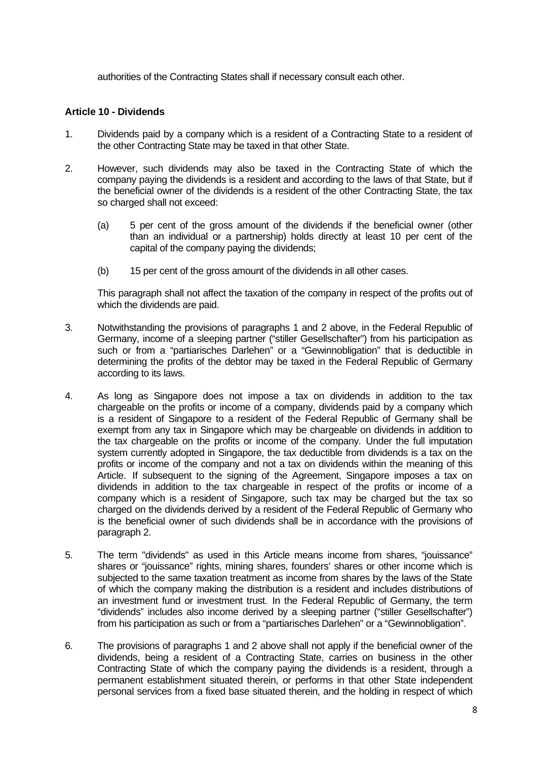authorities of the Contracting States shall if necessary consult each other.

#### **Article 10 - Dividends**

- 1. Dividends paid by a company which is a resident of a Contracting State to a resident of the other Contracting State may be taxed in that other State.
- 2. However, such dividends may also be taxed in the Contracting State of which the company paying the dividends is a resident and according to the laws of that State, but if the beneficial owner of the dividends is a resident of the other Contracting State, the tax so charged shall not exceed:
	- (a) 5 per cent of the gross amount of the dividends if the beneficial owner (other than an individual or a partnership) holds directly at least 10 per cent of the capital of the company paying the dividends;
	- (b) 15 per cent of the gross amount of the dividends in all other cases.

This paragraph shall not affect the taxation of the company in respect of the profits out of which the dividends are paid.

- 3. Notwithstanding the provisions of paragraphs 1 and 2 above, in the Federal Republic of Germany, income of a sleeping partner ("stiller Gesellschafter") from his participation as such or from a "partiarisches Darlehen" or a "Gewinnobligation" that is deductible in determining the profits of the debtor may be taxed in the Federal Republic of Germany according to its laws.
- 4. As long as Singapore does not impose a tax on dividends in addition to the tax chargeable on the profits or income of a company, dividends paid by a company which is a resident of Singapore to a resident of the Federal Republic of Germany shall be exempt from any tax in Singapore which may be chargeable on dividends in addition to the tax chargeable on the profits or income of the company. Under the full imputation system currently adopted in Singapore, the tax deductible from dividends is a tax on the profits or income of the company and not a tax on dividends within the meaning of this Article. If subsequent to the signing of the Agreement, Singapore imposes a tax on dividends in addition to the tax chargeable in respect of the profits or income of a company which is a resident of Singapore, such tax may be charged but the tax so charged on the dividends derived by a resident of the Federal Republic of Germany who is the beneficial owner of such dividends shall be in accordance with the provisions of paragraph 2.
- 5. The term "dividends" as used in this Article means income from shares, "jouissance" shares or "jouissance" rights, mining shares, founders' shares or other income which is subjected to the same taxation treatment as income from shares by the laws of the State of which the company making the distribution is a resident and includes distributions of an investment fund or investment trust. In the Federal Republic of Germany, the term "dividends" includes also income derived by a sleeping partner ("stiller Gesellschafter") from his participation as such or from a "partiarisches Darlehen" or a "Gewinnobligation".
- 6. The provisions of paragraphs 1 and 2 above shall not apply if the beneficial owner of the dividends, being a resident of a Contracting State, carries on business in the other Contracting State of which the company paying the dividends is a resident, through a permanent establishment situated therein, or performs in that other State independent personal services from a fixed base situated therein, and the holding in respect of which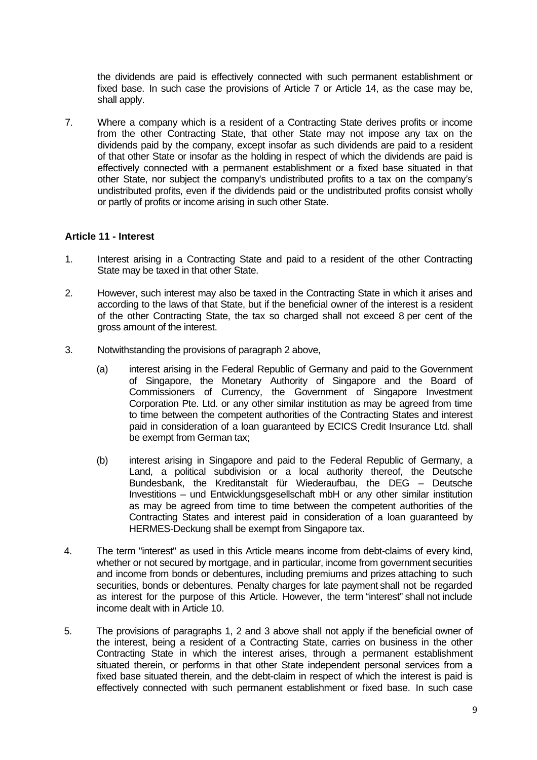the dividends are paid is effectively connected with such permanent establishment or fixed base. In such case the provisions of Article 7 or Article 14, as the case may be, shall apply.

7. Where a company which is a resident of a Contracting State derives profits or income from the other Contracting State, that other State may not impose any tax on the dividends paid by the company, except insofar as such dividends are paid to a resident of that other State or insofar as the holding in respect of which the dividends are paid is effectively connected with a permanent establishment or a fixed base situated in that other State, nor subject the company's undistributed profits to a tax on the company's undistributed profits, even if the dividends paid or the undistributed profits consist wholly or partly of profits or income arising in such other State.

#### **Article 11 - Interest**

- 1. Interest arising in a Contracting State and paid to a resident of the other Contracting State may be taxed in that other State.
- 2. However, such interest may also be taxed in the Contracting State in which it arises and according to the laws of that State, but if the beneficial owner of the interest is a resident of the other Contracting State, the tax so charged shall not exceed 8 per cent of the gross amount of the interest.
- 3. Notwithstanding the provisions of paragraph 2 above,
	- (a) interest arising in the Federal Republic of Germany and paid to the Government of Singapore, the Monetary Authority of Singapore and the Board of Commissioners of Currency, the Government of Singapore Investment Corporation Pte. Ltd. or any other similar institution as may be agreed from time to time between the competent authorities of the Contracting States and interest paid in consideration of a loan guaranteed by ECICS Credit Insurance Ltd. shall be exempt from German tax;
	- (b) interest arising in Singapore and paid to the Federal Republic of Germany, a Land, a political subdivision or a local authority thereof, the Deutsche Bundesbank, the Kreditanstalt für Wiederaufbau, the DEG – Deutsche Investitions – und Entwicklungsgesellschaft mbH or any other similar institution as may be agreed from time to time between the competent authorities of the Contracting States and interest paid in consideration of a loan guaranteed by HERMES-Deckung shall be exempt from Singapore tax.
- 4. The term "interest" as used in this Article means income from debt-claims of every kind, whether or not secured by mortgage, and in particular, income from government securities and income from bonds or debentures, including premiums and prizes attaching to such securities, bonds or debentures. Penalty charges for late payment shall not be regarded as interest for the purpose of this Article. However, the term "interest" shall not include income dealt with in Article 10.
- 5. The provisions of paragraphs 1, 2 and 3 above shall not apply if the beneficial owner of the interest, being a resident of a Contracting State, carries on business in the other Contracting State in which the interest arises, through a permanent establishment situated therein, or performs in that other State independent personal services from a fixed base situated therein, and the debt-claim in respect of which the interest is paid is effectively connected with such permanent establishment or fixed base. In such case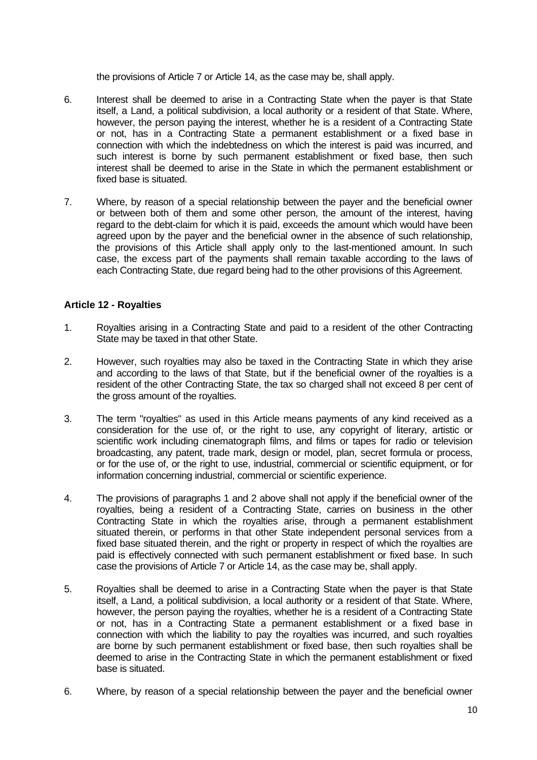the provisions of Article 7 or Article 14, as the case may be, shall apply.

- 6. Interest shall be deemed to arise in a Contracting State when the payer is that State itself, a Land, a political subdivision, a local authority or a resident of that State. Where, however, the person paying the interest, whether he is a resident of a Contracting State or not, has in a Contracting State a permanent establishment or a fixed base in connection with which the indebtedness on which the interest is paid was incurred, and such interest is borne by such permanent establishment or fixed base, then such interest shall be deemed to arise in the State in which the permanent establishment or fixed base is situated.
- 7. Where, by reason of a special relationship between the payer and the beneficial owner or between both of them and some other person, the amount of the interest, having regard to the debt-claim for which it is paid, exceeds the amount which would have been agreed upon by the payer and the beneficial owner in the absence of such relationship, the provisions of this Article shall apply only to the last-mentioned amount. In such case, the excess part of the payments shall remain taxable according to the laws of each Contracting State, due regard being had to the other provisions of this Agreement.

## **Article 12 - Royalties**

- 1. Royalties arising in a Contracting State and paid to a resident of the other Contracting State may be taxed in that other State.
- 2. However, such royalties may also be taxed in the Contracting State in which they arise and according to the laws of that State, but if the beneficial owner of the royalties is a resident of the other Contracting State, the tax so charged shall not exceed 8 per cent of the gross amount of the royalties.
- 3. The term "royalties" as used in this Article means payments of any kind received as a consideration for the use of, or the right to use, any copyright of literary, artistic or scientific work including cinematograph films, and films or tapes for radio or television broadcasting, any patent, trade mark, design or model, plan, secret formula or process, or for the use of, or the right to use, industrial, commercial or scientific equipment, or for information concerning industrial, commercial or scientific experience.
- 4. The provisions of paragraphs 1 and 2 above shall not apply if the beneficial owner of the royalties, being a resident of a Contracting State, carries on business in the other Contracting State in which the royalties arise, through a permanent establishment situated therein, or performs in that other State independent personal services from a fixed base situated therein, and the right or property in respect of which the royalties are paid is effectively connected with such permanent establishment or fixed base. In such case the provisions of Article 7 or Article 14, as the case may be, shall apply.
- 5. Royalties shall be deemed to arise in a Contracting State when the payer is that State itself, a Land, a political subdivision, a local authority or a resident of that State. Where, however, the person paying the royalties, whether he is a resident of a Contracting State or not, has in a Contracting State a permanent establishment or a fixed base in connection with which the liability to pay the royalties was incurred, and such royalties are borne by such permanent establishment or fixed base, then such royalties shall be deemed to arise in the Contracting State in which the permanent establishment or fixed base is situated.
- 6. Where, by reason of a special relationship between the payer and the beneficial owner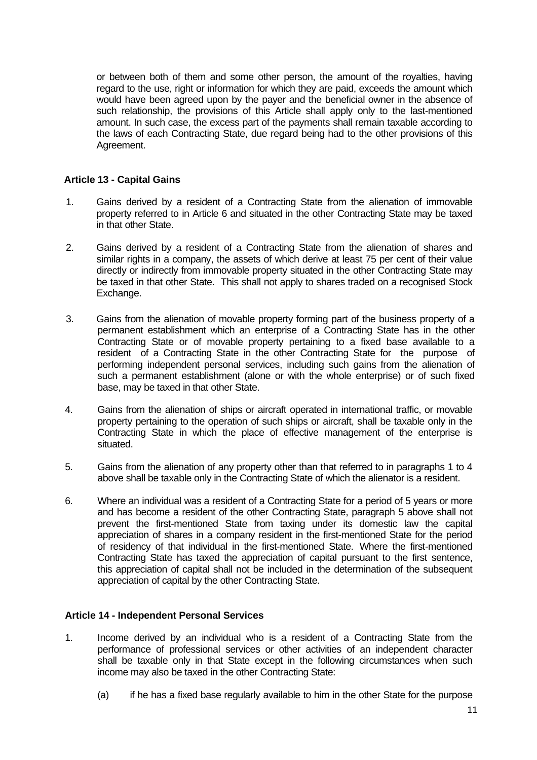or between both of them and some other person, the amount of the royalties, having regard to the use, right or information for which they are paid, exceeds the amount which would have been agreed upon by the payer and the beneficial owner in the absence of such relationship, the provisions of this Article shall apply only to the last-mentioned amount. In such case, the excess part of the payments shall remain taxable according to the laws of each Contracting State, due regard being had to the other provisions of this Agreement.

## **Article 13 - Capital Gains**

- 1. Gains derived by a resident of a Contracting State from the alienation of immovable property referred to in Article 6 and situated in the other Contracting State may be taxed in that other State.
- 2. Gains derived by a resident of a Contracting State from the alienation of shares and similar rights in a company, the assets of which derive at least 75 per cent of their value directly or indirectly from immovable property situated in the other Contracting State may be taxed in that other State. This shall not apply to shares traded on a recognised Stock Exchange.
- 3. Gains from the alienation of movable property forming part of the business property of a permanent establishment which an enterprise of a Contracting State has in the other Contracting State or of movable property pertaining to a fixed base available to a resident of a Contracting State in the other Contracting State for the purpose of performing independent personal services, including such gains from the alienation of such a permanent establishment (alone or with the whole enterprise) or of such fixed base, may be taxed in that other State.
- 4. Gains from the alienation of ships or aircraft operated in international traffic, or movable property pertaining to the operation of such ships or aircraft, shall be taxable only in the Contracting State in which the place of effective management of the enterprise is situated.
- 5. Gains from the alienation of any property other than that referred to in paragraphs 1 to 4 above shall be taxable only in the Contracting State of which the alienator is a resident.
- 6. Where an individual was a resident of a Contracting State for a period of 5 years or more and has become a resident of the other Contracting State, paragraph 5 above shall not prevent the first-mentioned State from taxing under its domestic law the capital appreciation of shares in a company resident in the first-mentioned State for the period of residency of that individual in the first-mentioned State. Where the first-mentioned Contracting State has taxed the appreciation of capital pursuant to the first sentence, this appreciation of capital shall not be included in the determination of the subsequent appreciation of capital by the other Contracting State.

## **Article 14 - Independent Personal Services**

- 1. Income derived by an individual who is a resident of a Contracting State from the performance of professional services or other activities of an independent character shall be taxable only in that State except in the following circumstances when such income may also be taxed in the other Contracting State:
	- (a) if he has a fixed base regularly available to him in the other State for the purpose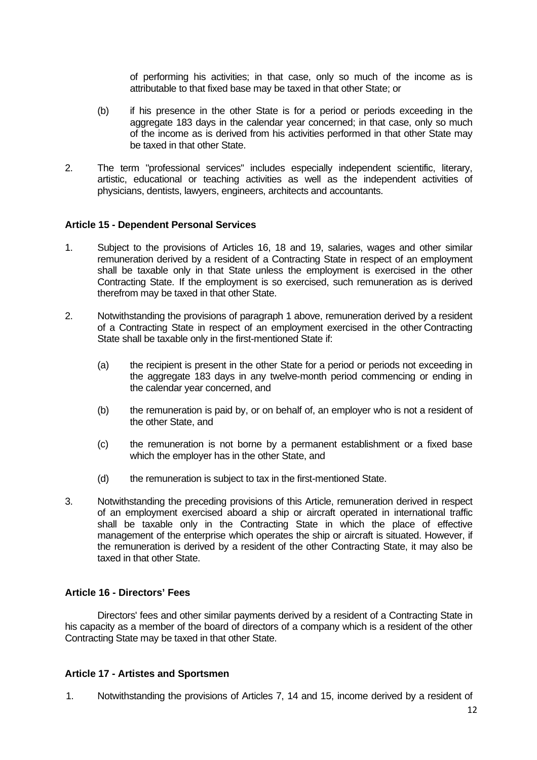of performing his activities; in that case, only so much of the income as is attributable to that fixed base may be taxed in that other State; or

- (b) if his presence in the other State is for a period or periods exceeding in the aggregate 183 days in the calendar year concerned; in that case, only so much of the income as is derived from his activities performed in that other State may be taxed in that other State.
- 2. The term "professional services" includes especially independent scientific, literary, artistic, educational or teaching activities as well as the independent activities of physicians, dentists, lawyers, engineers, architects and accountants.

#### **Article 15 - Dependent Personal Services**

- 1. Subject to the provisions of Articles 16, 18 and 19, salaries, wages and other similar remuneration derived by a resident of a Contracting State in respect of an employment shall be taxable only in that State unless the employment is exercised in the other Contracting State. If the employment is so exercised, such remuneration as is derived therefrom may be taxed in that other State.
- 2. Notwithstanding the provisions of paragraph 1 above, remuneration derived by a resident of a Contracting State in respect of an employment exercised in the other Contracting State shall be taxable only in the first-mentioned State if:
	- (a) the recipient is present in the other State for a period or periods not exceeding in the aggregate 183 days in any twelve-month period commencing or ending in the calendar year concerned, and
	- (b) the remuneration is paid by, or on behalf of, an employer who is not a resident of the other State, and
	- (c) the remuneration is not borne by a permanent establishment or a fixed base which the employer has in the other State, and
	- (d) the remuneration is subject to tax in the first-mentioned State.
- 3. Notwithstanding the preceding provisions of this Article, remuneration derived in respect of an employment exercised aboard a ship or aircraft operated in international traffic shall be taxable only in the Contracting State in which the place of effective management of the enterprise which operates the ship or aircraft is situated. However, if the remuneration is derived by a resident of the other Contracting State, it may also be taxed in that other State.

## **Article 16 - Directors' Fees**

Directors' fees and other similar payments derived by a resident of a Contracting State in his capacity as a member of the board of directors of a company which is a resident of the other Contracting State may be taxed in that other State.

#### **Article 17 - Artistes and Sportsmen**

1. Notwithstanding the provisions of Articles 7, 14 and 15, income derived by a resident of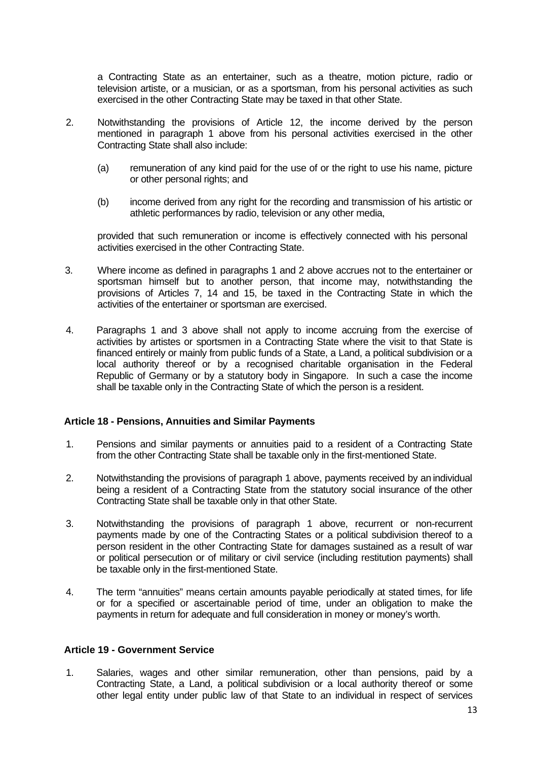a Contracting State as an entertainer, such as a theatre, motion picture, radio or television artiste, or a musician, or as a sportsman, from his personal activities as such exercised in the other Contracting State may be taxed in that other State.

- 2. Notwithstanding the provisions of Article 12, the income derived by the person mentioned in paragraph 1 above from his personal activities exercised in the other Contracting State shall also include:
	- (a) remuneration of any kind paid for the use of or the right to use his name, picture or other personal rights; and
	- (b) income derived from any right for the recording and transmission of his artistic or athletic performances by radio, television or any other media,

provided that such remuneration or income is effectively connected with his personal activities exercised in the other Contracting State.

- 3. Where income as defined in paragraphs 1 and 2 above accrues not to the entertainer or sportsman himself but to another person, that income may, notwithstanding the provisions of Articles 7, 14 and 15, be taxed in the Contracting State in which the activities of the entertainer or sportsman are exercised.
- 4. Paragraphs 1 and 3 above shall not apply to income accruing from the exercise of activities by artistes or sportsmen in a Contracting State where the visit to that State is financed entirely or mainly from public funds of a State, a Land, a political subdivision or a local authority thereof or by a recognised charitable organisation in the Federal Republic of Germany or by a statutory body in Singapore. In such a case the income shall be taxable only in the Contracting State of which the person is a resident.

#### **Article 18 - Pensions, Annuities and Similar Payments**

- 1. Pensions and similar payments or annuities paid to a resident of a Contracting State from the other Contracting State shall be taxable only in the first-mentioned State.
- 2. Notwithstanding the provisions of paragraph 1 above, payments received by an individual being a resident of a Contracting State from the statutory social insurance of the other Contracting State shall be taxable only in that other State.
- 3. Notwithstanding the provisions of paragraph 1 above, recurrent or non-recurrent payments made by one of the Contracting States or a political subdivision thereof to a person resident in the other Contracting State for damages sustained as a result of war or political persecution or of military or civil service (including restitution payments) shall be taxable only in the first-mentioned State.
- 4. The term "annuities" means certain amounts payable periodically at stated times, for life or for a specified or ascertainable period of time, under an obligation to make the payments in return for adequate and full consideration in money or money's worth.

## **Article 19 - Government Service**

1. Salaries, wages and other similar remuneration, other than pensions, paid by a Contracting State, a Land, a political subdivision or a local authority thereof or some other legal entity under public law of that State to an individual in respect of services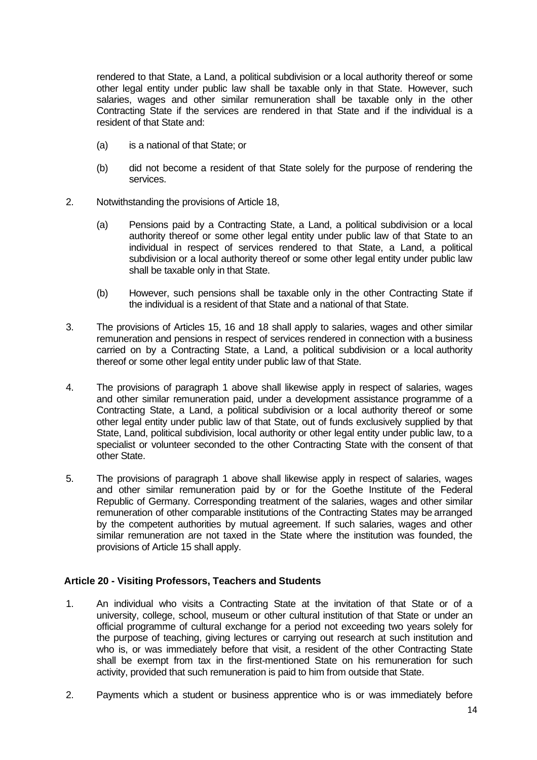rendered to that State, a Land, a political subdivision or a local authority thereof or some other legal entity under public law shall be taxable only in that State. However, such salaries, wages and other similar remuneration shall be taxable only in the other Contracting State if the services are rendered in that State and if the individual is a resident of that State and:

- (a) is a national of that State; or
- (b) did not become a resident of that State solely for the purpose of rendering the services.
- 2. Notwithstanding the provisions of Article 18,
	- (a) Pensions paid by a Contracting State, a Land, a political subdivision or a local authority thereof or some other legal entity under public law of that State to an individual in respect of services rendered to that State, a Land, a political subdivision or a local authority thereof or some other legal entity under public law shall be taxable only in that State.
	- (b) However, such pensions shall be taxable only in the other Contracting State if the individual is a resident of that State and a national of that State.
- 3. The provisions of Articles 15, 16 and 18 shall apply to salaries, wages and other similar remuneration and pensions in respect of services rendered in connection with a business carried on by a Contracting State, a Land, a political subdivision or a local authority thereof or some other legal entity under public law of that State.
- 4. The provisions of paragraph 1 above shall likewise apply in respect of salaries, wages and other similar remuneration paid, under a development assistance programme of a Contracting State, a Land, a political subdivision or a local authority thereof or some other legal entity under public law of that State, out of funds exclusively supplied by that State, Land, political subdivision, local authority or other legal entity under public law, to a specialist or volunteer seconded to the other Contracting State with the consent of that other State.
- 5. The provisions of paragraph 1 above shall likewise apply in respect of salaries, wages and other similar remuneration paid by or for the Goethe Institute of the Federal Republic of Germany. Corresponding treatment of the salaries, wages and other similar remuneration of other comparable institutions of the Contracting States may be arranged by the competent authorities by mutual agreement. If such salaries, wages and other similar remuneration are not taxed in the State where the institution was founded, the provisions of Article 15 shall apply.

## **Article 20 - Visiting Professors, Teachers and Students**

- 1. An individual who visits a Contracting State at the invitation of that State or of a university, college, school, museum or other cultural institution of that State or under an official programme of cultural exchange for a period not exceeding two years solely for the purpose of teaching, giving lectures or carrying out research at such institution and who is, or was immediately before that visit, a resident of the other Contracting State shall be exempt from tax in the first-mentioned State on his remuneration for such activity, provided that such remuneration is paid to him from outside that State.
- 2. Payments which a student or business apprentice who is or was immediately before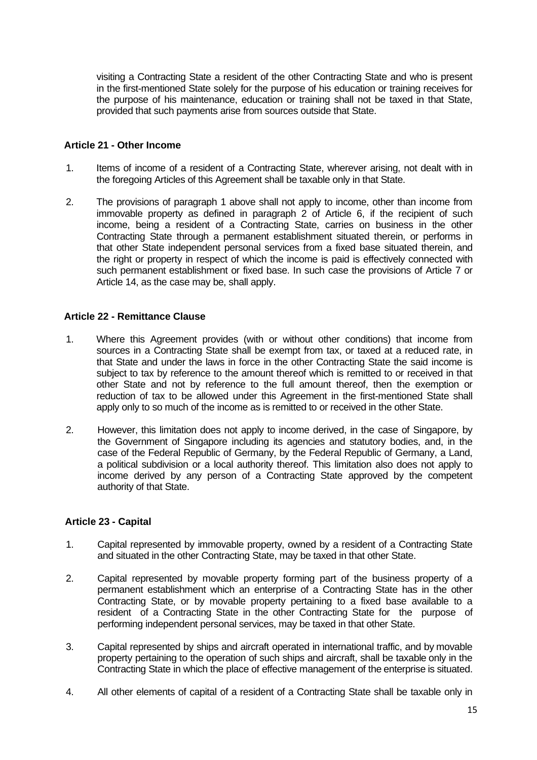visiting a Contracting State a resident of the other Contracting State and who is present in the first-mentioned State solely for the purpose of his education or training receives for the purpose of his maintenance, education or training shall not be taxed in that State, provided that such payments arise from sources outside that State.

#### **Article 21 - Other Income**

- 1. Items of income of a resident of a Contracting State, wherever arising, not dealt with in the foregoing Articles of this Agreement shall be taxable only in that State.
- 2. The provisions of paragraph 1 above shall not apply to income, other than income from immovable property as defined in paragraph 2 of Article 6, if the recipient of such income, being a resident of a Contracting State, carries on business in the other Contracting State through a permanent establishment situated therein, or performs in that other State independent personal services from a fixed base situated therein, and the right or property in respect of which the income is paid is effectively connected with such permanent establishment or fixed base. In such case the provisions of Article 7 or Article 14, as the case may be, shall apply.

#### **Article 22 - Remittance Clause**

- 1. Where this Agreement provides (with or without other conditions) that income from sources in a Contracting State shall be exempt from tax, or taxed at a reduced rate, in that State and under the laws in force in the other Contracting State the said income is subject to tax by reference to the amount thereof which is remitted to or received in that other State and not by reference to the full amount thereof, then the exemption or reduction of tax to be allowed under this Agreement in the first-mentioned State shall apply only to so much of the income as is remitted to or received in the other State.
- 2. However, this limitation does not apply to income derived, in the case of Singapore, by the Government of Singapore including its agencies and statutory bodies, and, in the case of the Federal Republic of Germany, by the Federal Republic of Germany, a Land, a political subdivision or a local authority thereof. This limitation also does not apply to income derived by any person of a Contracting State approved by the competent authority of that State.

## **Article 23 - Capital**

- 1. Capital represented by immovable property, owned by a resident of a Contracting State and situated in the other Contracting State, may be taxed in that other State.
- 2. Capital represented by movable property forming part of the business property of a permanent establishment which an enterprise of a Contracting State has in the other Contracting State, or by movable property pertaining to a fixed base available to a resident of a Contracting State in the other Contracting State for the purpose of performing independent personal services, may be taxed in that other State.
- 3. Capital represented by ships and aircraft operated in international traffic, and by movable property pertaining to the operation of such ships and aircraft, shall be taxable only in the Contracting State in which the place of effective management of the enterprise is situated.
- 4. All other elements of capital of a resident of a Contracting State shall be taxable only in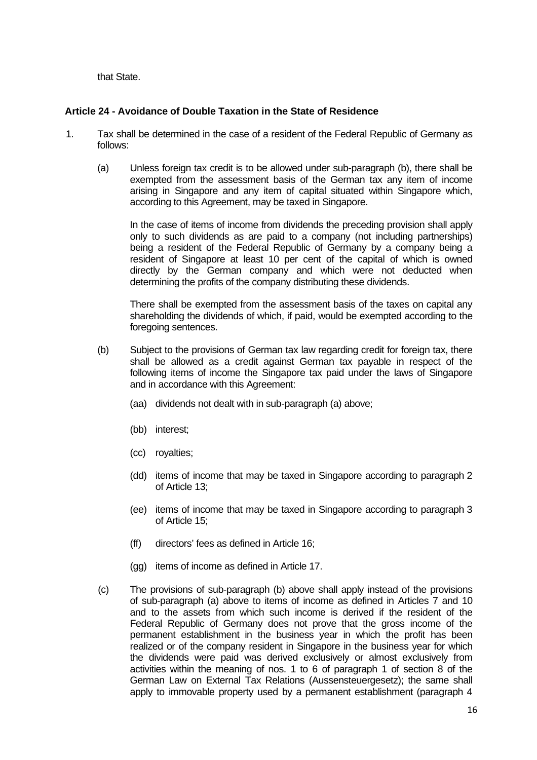that State.

#### **Article 24 - Avoidance of Double Taxation in the State of Residence**

- 1. Tax shall be determined in the case of a resident of the Federal Republic of Germany as follows:
	- (a) Unless foreign tax credit is to be allowed under sub-paragraph (b), there shall be exempted from the assessment basis of the German tax any item of income arising in Singapore and any item of capital situated within Singapore which, according to this Agreement, may be taxed in Singapore.

In the case of items of income from dividends the preceding provision shall apply only to such dividends as are paid to a company (not including partnerships) being a resident of the Federal Republic of Germany by a company being a resident of Singapore at least 10 per cent of the capital of which is owned directly by the German company and which were not deducted when determining the profits of the company distributing these dividends.

There shall be exempted from the assessment basis of the taxes on capital any shareholding the dividends of which, if paid, would be exempted according to the foregoing sentences.

- (b) Subject to the provisions of German tax law regarding credit for foreign tax, there shall be allowed as a credit against German tax payable in respect of the following items of income the Singapore tax paid under the laws of Singapore and in accordance with this Agreement:
	- (aa) dividends not dealt with in sub-paragraph (a) above;
	- (bb) interest;
	- (cc) royalties;
	- (dd) items of income that may be taxed in Singapore according to paragraph 2 of Article 13;
	- (ee) items of income that may be taxed in Singapore according to paragraph 3 of Article 15;
	- (ff) directors' fees as defined in Article 16;
	- (gg) items of income as defined in Article 17.
- (c) The provisions of sub-paragraph (b) above shall apply instead of the provisions of sub-paragraph (a) above to items of income as defined in Articles 7 and 10 and to the assets from which such income is derived if the resident of the Federal Republic of Germany does not prove that the gross income of the permanent establishment in the business year in which the profit has been realized or of the company resident in Singapore in the business year for which the dividends were paid was derived exclusively or almost exclusively from activities within the meaning of nos. 1 to 6 of paragraph 1 of section 8 of the German Law on External Tax Relations (Aussensteuergesetz); the same shall apply to immovable property used by a permanent establishment (paragraph 4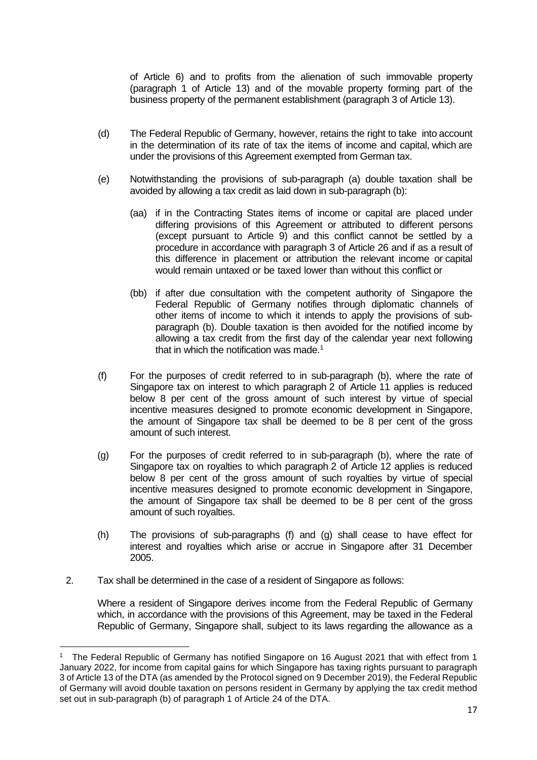of Article 6) and to profits from the alienation of such immovable property (paragraph 1 of Article 13) and of the movable property forming part of the business property of the permanent establishment (paragraph 3 of Article 13).

- (d) The Federal Republic of Germany, however, retains the right to take into account in the determination of its rate of tax the items of income and capital, which are under the provisions of this Agreement exempted from German tax.
- (e) Notwithstanding the provisions of sub-paragraph (a) double taxation shall be avoided by allowing a tax credit as laid down in sub-paragraph (b):
	- (aa) if in the Contracting States items of income or capital are placed under differing provisions of this Agreement or attributed to different persons (except pursuant to Article 9) and this conflict cannot be settled by a procedure in accordance with paragraph 3 of Article 26 and if as a result of this difference in placement or attribution the relevant income or capital would remain untaxed or be taxed lower than without this conflict or
	- (bb) if after due consultation with the competent authority of Singapore the Federal Republic of Germany notifies through diplomatic channels of other items of income to which it intends to apply the provisions of subparagraph (b). Double taxation is then avoided for the notified income by allowing a tax credit from the first day of the calendar year next following that in which the notification was made.<sup>[1](#page-16-0)</sup>
- (f) For the purposes of credit referred to in sub-paragraph (b), where the rate of Singapore tax on interest to which paragraph 2 of Article 11 applies is reduced below 8 per cent of the gross amount of such interest by virtue of special incentive measures designed to promote economic development in Singapore, the amount of Singapore tax shall be deemed to be 8 per cent of the gross amount of such interest.
- (g) For the purposes of credit referred to in sub-paragraph (b), where the rate of Singapore tax on royalties to which paragraph 2 of Article 12 applies is reduced below 8 per cent of the gross amount of such royalties by virtue of special incentive measures designed to promote economic development in Singapore, the amount of Singapore tax shall be deemed to be 8 per cent of the gross amount of such royalties.
- (h) The provisions of sub-paragraphs (f) and (g) shall cease to have effect for interest and royalties which arise or accrue in Singapore after 31 December 2005.
- 2. Tax shall be determined in the case of a resident of Singapore as follows:

Where a resident of Singapore derives income from the Federal Republic of Germany which, in accordance with the provisions of this Agreement, may be taxed in the Federal Republic of Germany, Singapore shall, subject to its laws regarding the allowance as a

<span id="page-16-0"></span><sup>1</sup> The Federal Republic of Germany has notified Singapore on 16 August 2021 that with effect from 1 January 2022, for income from capital gains for which Singapore has taxing rights pursuant to paragraph 3 of Article 13 of the DTA (as amended by the Protocol signed on 9 December 2019), the Federal Republic of Germany will avoid double taxation on persons resident in Germany by applying the tax credit method set out in sub-paragraph (b) of paragraph 1 of Article 24 of the DTA.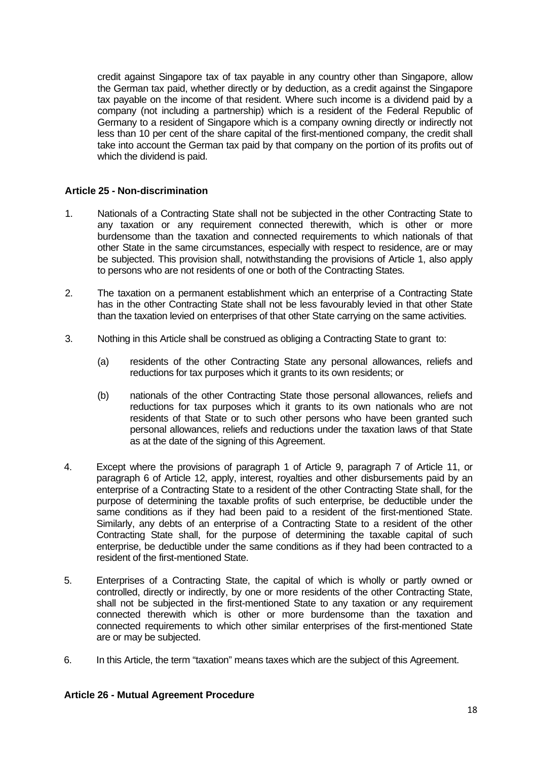credit against Singapore tax of tax payable in any country other than Singapore, allow the German tax paid, whether directly or by deduction, as a credit against the Singapore tax payable on the income of that resident. Where such income is a dividend paid by a company (not including a partnership) which is a resident of the Federal Republic of Germany to a resident of Singapore which is a company owning directly or indirectly not less than 10 per cent of the share capital of the first-mentioned company, the credit shall take into account the German tax paid by that company on the portion of its profits out of which the dividend is paid.

#### **Article 25 - Non-discrimination**

- 1. Nationals of a Contracting State shall not be subjected in the other Contracting State to any taxation or any requirement connected therewith, which is other or more burdensome than the taxation and connected requirements to which nationals of that other State in the same circumstances, especially with respect to residence, are or may be subjected. This provision shall, notwithstanding the provisions of Article 1, also apply to persons who are not residents of one or both of the Contracting States.
- 2. The taxation on a permanent establishment which an enterprise of a Contracting State has in the other Contracting State shall not be less favourably levied in that other State than the taxation levied on enterprises of that other State carrying on the same activities.
- 3. Nothing in this Article shall be construed as obliging a Contracting State to grant to:
	- (a) residents of the other Contracting State any personal allowances, reliefs and reductions for tax purposes which it grants to its own residents; or
	- (b) nationals of the other Contracting State those personal allowances, reliefs and reductions for tax purposes which it grants to its own nationals who are not residents of that State or to such other persons who have been granted such personal allowances, reliefs and reductions under the taxation laws of that State as at the date of the signing of this Agreement.
- 4. Except where the provisions of paragraph 1 of Article 9, paragraph 7 of Article 11, or paragraph 6 of Article 12, apply, interest, royalties and other disbursements paid by an enterprise of a Contracting State to a resident of the other Contracting State shall, for the purpose of determining the taxable profits of such enterprise, be deductible under the same conditions as if they had been paid to a resident of the first-mentioned State. Similarly, any debts of an enterprise of a Contracting State to a resident of the other Contracting State shall, for the purpose of determining the taxable capital of such enterprise, be deductible under the same conditions as if they had been contracted to a resident of the first-mentioned State.
- 5. Enterprises of a Contracting State, the capital of which is wholly or partly owned or controlled, directly or indirectly, by one or more residents of the other Contracting State, shall not be subjected in the first-mentioned State to any taxation or any requirement connected therewith which is other or more burdensome than the taxation and connected requirements to which other similar enterprises of the first-mentioned State are or may be subjected.
- 6. In this Article, the term "taxation" means taxes which are the subject of this Agreement.

#### **Article 26 - Mutual Agreement Procedure**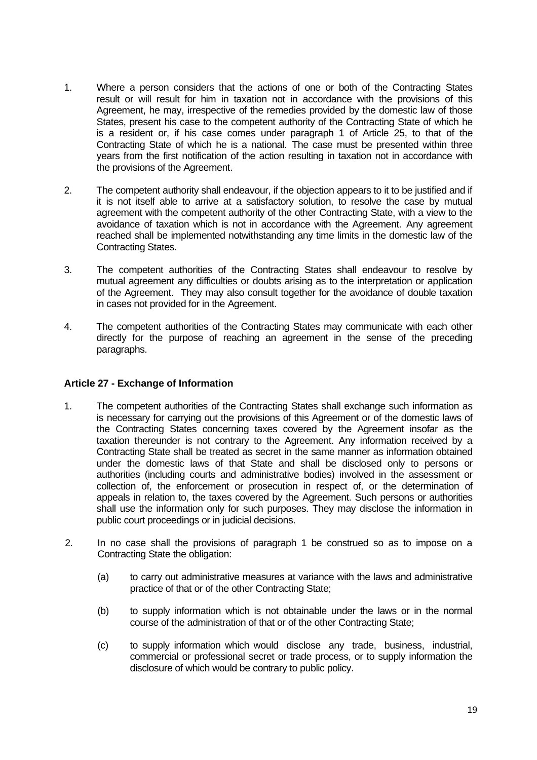- 1. Where a person considers that the actions of one or both of the Contracting States result or will result for him in taxation not in accordance with the provisions of this Agreement, he may, irrespective of the remedies provided by the domestic law of those States, present his case to the competent authority of the Contracting State of which he is a resident or, if his case comes under paragraph 1 of Article 25, to that of the Contracting State of which he is a national. The case must be presented within three years from the first notification of the action resulting in taxation not in accordance with the provisions of the Agreement.
- 2. The competent authority shall endeavour, if the objection appears to it to be justified and if it is not itself able to arrive at a satisfactory solution, to resolve the case by mutual agreement with the competent authority of the other Contracting State, with a view to the avoidance of taxation which is not in accordance with the Agreement. Any agreement reached shall be implemented notwithstanding any time limits in the domestic law of the Contracting States.
- 3. The competent authorities of the Contracting States shall endeavour to resolve by mutual agreement any difficulties or doubts arising as to the interpretation or application of the Agreement. They may also consult together for the avoidance of double taxation in cases not provided for in the Agreement.
- 4. The competent authorities of the Contracting States may communicate with each other directly for the purpose of reaching an agreement in the sense of the preceding paragraphs.

## **Article 27 - Exchange of Information**

- 1. The competent authorities of the Contracting States shall exchange such information as is necessary for carrying out the provisions of this Agreement or of the domestic laws of the Contracting States concerning taxes covered by the Agreement insofar as the taxation thereunder is not contrary to the Agreement. Any information received by a Contracting State shall be treated as secret in the same manner as information obtained under the domestic laws of that State and shall be disclosed only to persons or authorities (including courts and administrative bodies) involved in the assessment or collection of, the enforcement or prosecution in respect of, or the determination of appeals in relation to, the taxes covered by the Agreement. Such persons or authorities shall use the information only for such purposes. They may disclose the information in public court proceedings or in judicial decisions.
- 2. In no case shall the provisions of paragraph 1 be construed so as to impose on a Contracting State the obligation:
	- (a) to carry out administrative measures at variance with the laws and administrative practice of that or of the other Contracting State;
	- (b) to supply information which is not obtainable under the laws or in the normal course of the administration of that or of the other Contracting State;
	- (c) to supply information which would disclose any trade, business, industrial, commercial or professional secret or trade process, or to supply information the disclosure of which would be contrary to public policy.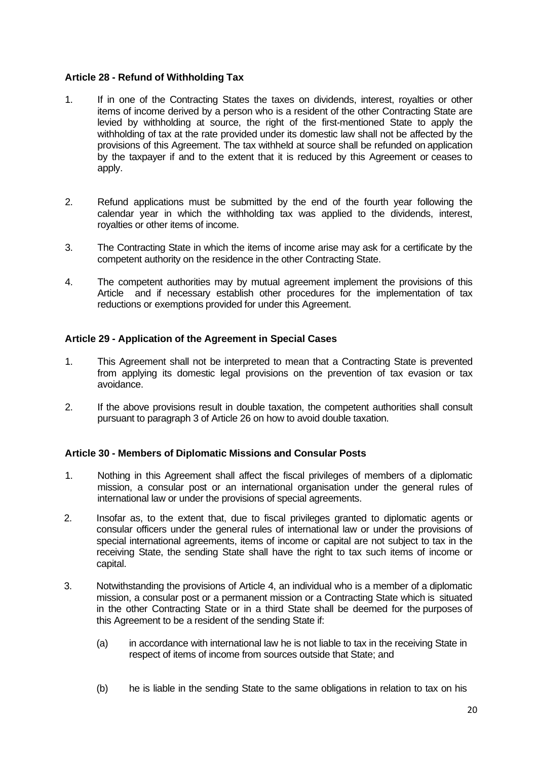## **Article 28 - Refund of Withholding Tax**

- 1. If in one of the Contracting States the taxes on dividends, interest, royalties or other items of income derived by a person who is a resident of the other Contracting State are levied by withholding at source, the right of the first-mentioned State to apply the withholding of tax at the rate provided under its domestic law shall not be affected by the provisions of this Agreement. The tax withheld at source shall be refunded on application by the taxpayer if and to the extent that it is reduced by this Agreement or ceases to apply.
- 2. Refund applications must be submitted by the end of the fourth year following the calendar year in which the withholding tax was applied to the dividends, interest, royalties or other items of income.
- 3. The Contracting State in which the items of income arise may ask for a certificate by the competent authority on the residence in the other Contracting State.
- 4. The competent authorities may by mutual agreement implement the provisions of this Article and if necessary establish other procedures for the implementation of tax reductions or exemptions provided for under this Agreement.

# **Article 29 - Application of the Agreement in Special Cases**

- 1. This Agreement shall not be interpreted to mean that a Contracting State is prevented from applying its domestic legal provisions on the prevention of tax evasion or tax avoidance.
- 2. If the above provisions result in double taxation, the competent authorities shall consult pursuant to paragraph 3 of Article 26 on how to avoid double taxation.

## **Article 30 - Members of Diplomatic Missions and Consular Posts**

- 1. Nothing in this Agreement shall affect the fiscal privileges of members of a diplomatic mission, a consular post or an international organisation under the general rules of international law or under the provisions of special agreements.
- 2. Insofar as, to the extent that, due to fiscal privileges granted to diplomatic agents or consular officers under the general rules of international law or under the provisions of special international agreements, items of income or capital are not subject to tax in the receiving State, the sending State shall have the right to tax such items of income or capital.
- 3. Notwithstanding the provisions of Article 4, an individual who is a member of a diplomatic mission, a consular post or a permanent mission or a Contracting State which is situated in the other Contracting State or in a third State shall be deemed for the purposes of this Agreement to be a resident of the sending State if:
	- (a) in accordance with international law he is not liable to tax in the receiving State in respect of items of income from sources outside that State; and
	- (b) he is liable in the sending State to the same obligations in relation to tax on his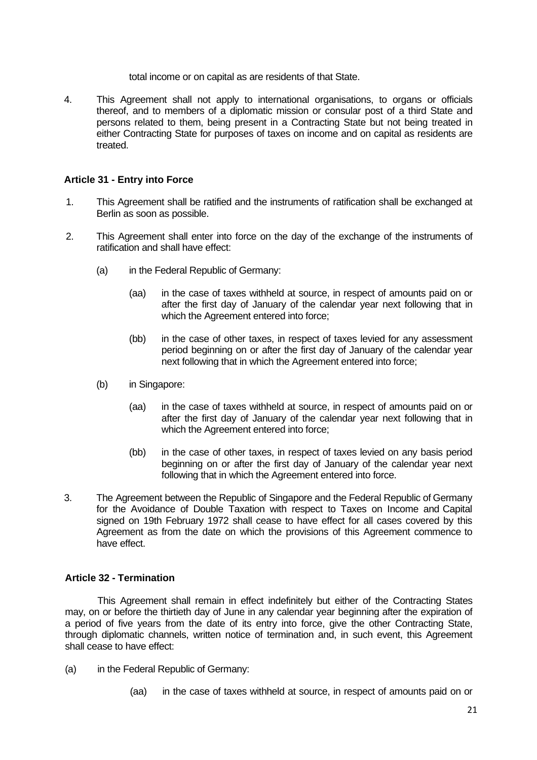- total income or on capital as are residents of that State.
- 4. This Agreement shall not apply to international organisations, to organs or officials thereof, and to members of a diplomatic mission or consular post of a third State and persons related to them, being present in a Contracting State but not being treated in either Contracting State for purposes of taxes on income and on capital as residents are treated.

## **Article 31 - Entry into Force**

- 1. This Agreement shall be ratified and the instruments of ratification shall be exchanged at Berlin as soon as possible.
- 2. This Agreement shall enter into force on the day of the exchange of the instruments of ratification and shall have effect:
	- (a) in the Federal Republic of Germany:
		- (aa) in the case of taxes withheld at source, in respect of amounts paid on or after the first day of January of the calendar year next following that in which the Agreement entered into force;
		- (bb) in the case of other taxes, in respect of taxes levied for any assessment period beginning on or after the first day of January of the calendar year next following that in which the Agreement entered into force;
	- (b) in Singapore:
		- (aa) in the case of taxes withheld at source, in respect of amounts paid on or after the first day of January of the calendar year next following that in which the Agreement entered into force;
		- (bb) in the case of other taxes, in respect of taxes levied on any basis period beginning on or after the first day of January of the calendar year next following that in which the Agreement entered into force.
- 3. The Agreement between the Republic of Singapore and the Federal Republic of Germany for the Avoidance of Double Taxation with respect to Taxes on Income and Capital signed on 19th February 1972 shall cease to have effect for all cases covered by this Agreement as from the date on which the provisions of this Agreement commence to have effect.

#### **Article 32 - Termination**

This Agreement shall remain in effect indefinitely but either of the Contracting States may, on or before the thirtieth day of June in any calendar year beginning after the expiration of a period of five years from the date of its entry into force, give the other Contracting State, through diplomatic channels, written notice of termination and, in such event, this Agreement shall cease to have effect:

- (a) in the Federal Republic of Germany:
	- (aa) in the case of taxes withheld at source, in respect of amounts paid on or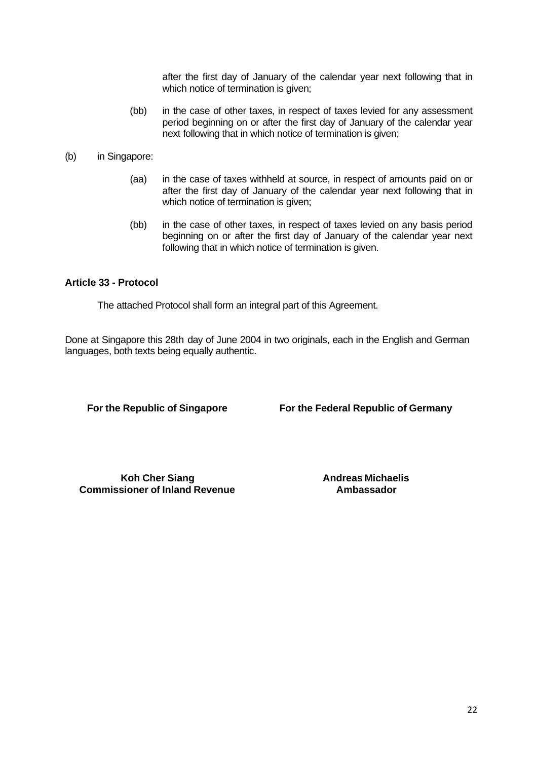after the first day of January of the calendar year next following that in which notice of termination is given;

- (bb) in the case of other taxes, in respect of taxes levied for any assessment period beginning on or after the first day of January of the calendar year next following that in which notice of termination is given;
- (b) in Singapore:
	- (aa) in the case of taxes withheld at source, in respect of amounts paid on or after the first day of January of the calendar year next following that in which notice of termination is given;
	- (bb) in the case of other taxes, in respect of taxes levied on any basis period beginning on or after the first day of January of the calendar year next following that in which notice of termination is given.

#### **Article 33 - Protocol**

The attached Protocol shall form an integral part of this Agreement.

Done at Singapore this 28th day of June 2004 in two originals, each in the English and German languages, both texts being equally authentic.

**For the Republic of Singapore For the Federal Republic of Germany**

**Koh Cher Siang Commissioner of Inland Revenue** **Andreas Michaelis Ambassador**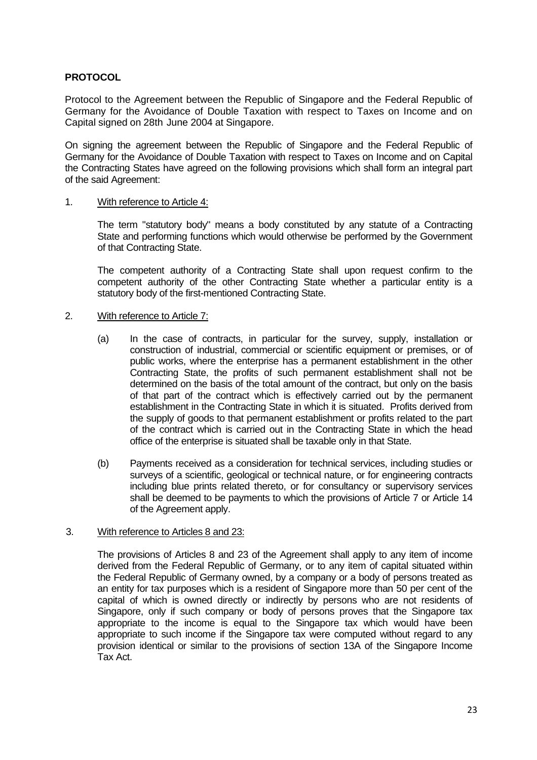## **PROTOCOL**

Protocol to the Agreement between the Republic of Singapore and the Federal Republic of Germany for the Avoidance of Double Taxation with respect to Taxes on Income and on Capital signed on 28th June 2004 at Singapore.

On signing the agreement between the Republic of Singapore and the Federal Republic of Germany for the Avoidance of Double Taxation with respect to Taxes on Income and on Capital the Contracting States have agreed on the following provisions which shall form an integral part of the said Agreement:

### 1. With reference to Article 4:

The term "statutory body" means a body constituted by any statute of a Contracting State and performing functions which would otherwise be performed by the Government of that Contracting State.

The competent authority of a Contracting State shall upon request confirm to the competent authority of the other Contracting State whether a particular entity is a statutory body of the first-mentioned Contracting State.

#### 2. With reference to Article 7:

- (a) In the case of contracts, in particular for the survey, supply, installation or construction of industrial, commercial or scientific equipment or premises, or of public works, where the enterprise has a permanent establishment in the other Contracting State, the profits of such permanent establishment shall not be determined on the basis of the total amount of the contract, but only on the basis of that part of the contract which is effectively carried out by the permanent establishment in the Contracting State in which it is situated. Profits derived from the supply of goods to that permanent establishment or profits related to the part of the contract which is carried out in the Contracting State in which the head office of the enterprise is situated shall be taxable only in that State.
- (b) Payments received as a consideration for technical services, including studies or surveys of a scientific, geological or technical nature, or for engineering contracts including blue prints related thereto, or for consultancy or supervisory services shall be deemed to be payments to which the provisions of Article 7 or Article 14 of the Agreement apply.

## 3. With reference to Articles 8 and 23:

The provisions of Articles 8 and 23 of the Agreement shall apply to any item of income derived from the Federal Republic of Germany, or to any item of capital situated within the Federal Republic of Germany owned, by a company or a body of persons treated as an entity for tax purposes which is a resident of Singapore more than 50 per cent of the capital of which is owned directly or indirectly by persons who are not residents of Singapore, only if such company or body of persons proves that the Singapore tax appropriate to the income is equal to the Singapore tax which would have been appropriate to such income if the Singapore tax were computed without regard to any provision identical or similar to the provisions of section 13A of the Singapore Income Tax Act.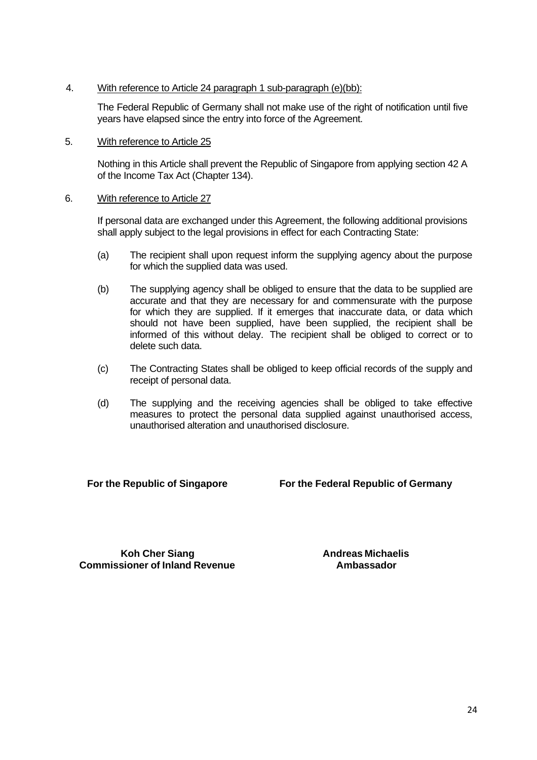## 4. With reference to Article 24 paragraph 1 sub-paragraph (e)(bb):

The Federal Republic of Germany shall not make use of the right of notification until five years have elapsed since the entry into force of the Agreement.

5. With reference to Article 25

Nothing in this Article shall prevent the Republic of Singapore from applying section 42 A of the Income Tax Act (Chapter 134).

#### 6. With reference to Article 27

If personal data are exchanged under this Agreement, the following additional provisions shall apply subject to the legal provisions in effect for each Contracting State:

- (a) The recipient shall upon request inform the supplying agency about the purpose for which the supplied data was used.
- (b) The supplying agency shall be obliged to ensure that the data to be supplied are accurate and that they are necessary for and commensurate with the purpose for which they are supplied. If it emerges that inaccurate data, or data which should not have been supplied, have been supplied, the recipient shall be informed of this without delay. The recipient shall be obliged to correct or to delete such data.
- (c) The Contracting States shall be obliged to keep official records of the supply and receipt of personal data.
- (d) The supplying and the receiving agencies shall be obliged to take effective measures to protect the personal data supplied against unauthorised access, unauthorised alteration and unauthorised disclosure.

**For the Republic of Singapore For the Federal Republic of Germany**

**Koh Cher Siang Commissioner of Inland Revenue** **Andreas Michaelis Ambassador**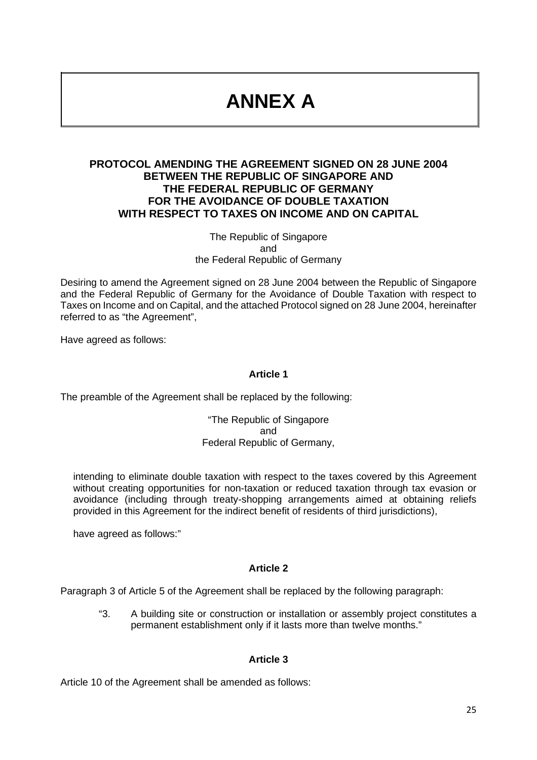# **ANNEX A**

## **PROTOCOL AMENDING THE AGREEMENT SIGNED ON 28 JUNE 2004 BETWEEN THE REPUBLIC OF SINGAPORE AND THE FEDERAL REPUBLIC OF GERMANY FOR THE AVOIDANCE OF DOUBLE TAXATION WITH RESPECT TO TAXES ON INCOME AND ON CAPITAL**

The Republic of Singapore and the Federal Republic of Germany

Desiring to amend the Agreement signed on 28 June 2004 between the Republic of Singapore and the Federal Republic of Germany for the Avoidance of Double Taxation with respect to Taxes on Income and on Capital, and the attached Protocol signed on 28 June 2004, hereinafter referred to as "the Agreement",

Have agreed as follows:

## **Article 1**

The preamble of the Agreement shall be replaced by the following:

"The Republic of Singapore and Federal Republic of Germany,

intending to eliminate double taxation with respect to the taxes covered by this Agreement without creating opportunities for non-taxation or reduced taxation through tax evasion or avoidance (including through treaty-shopping arrangements aimed at obtaining reliefs provided in this Agreement for the indirect benefit of residents of third jurisdictions),

have agreed as follows:"

## **Article 2**

Paragraph 3 of Article 5 of the Agreement shall be replaced by the following paragraph:

"3. A building site or construction or installation or assembly project constitutes a permanent establishment only if it lasts more than twelve months."

## **Article 3**

Article 10 of the Agreement shall be amended as follows: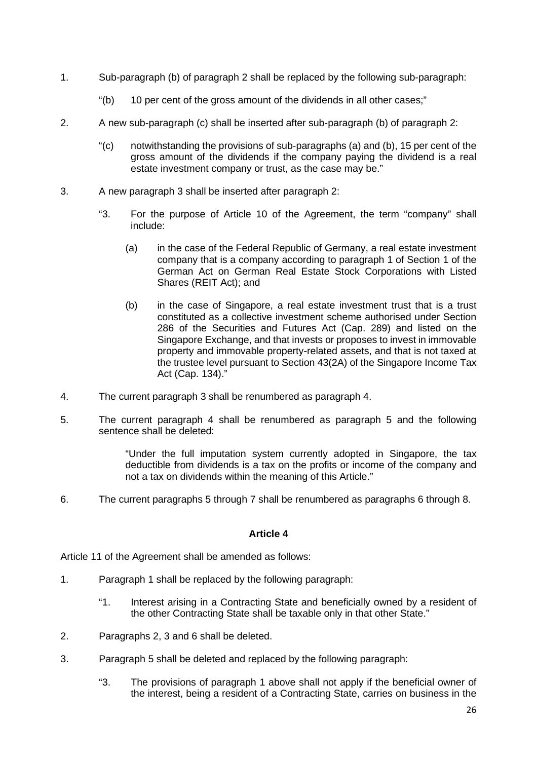- 1. Sub-paragraph (b) of paragraph 2 shall be replaced by the following sub-paragraph:
	- "(b) 10 per cent of the gross amount of the dividends in all other cases;"
- 2. A new sub-paragraph (c) shall be inserted after sub-paragraph (b) of paragraph 2:
	- "(c) notwithstanding the provisions of sub-paragraphs (a) and (b), 15 per cent of the gross amount of the dividends if the company paying the dividend is a real estate investment company or trust, as the case may be."
- 3. A new paragraph 3 shall be inserted after paragraph 2:
	- "3. For the purpose of Article 10 of the Agreement, the term "company" shall include:
		- (a) in the case of the Federal Republic of Germany, a real estate investment company that is a company according to paragraph 1 of Section 1 of the German Act on German Real Estate Stock Corporations with Listed Shares (REIT Act); and
		- (b) in the case of Singapore, a real estate investment trust that is a trust constituted as a collective investment scheme authorised under Section 286 of the Securities and Futures Act (Cap. 289) and listed on the Singapore Exchange, and that invests or proposes to invest in immovable property and immovable property-related assets, and that is not taxed at the trustee level pursuant to Section 43(2A) of the Singapore Income Tax Act (Cap. 134)."
- 4. The current paragraph 3 shall be renumbered as paragraph 4.
- 5. The current paragraph 4 shall be renumbered as paragraph 5 and the following sentence shall be deleted:

"Under the full imputation system currently adopted in Singapore, the tax deductible from dividends is a tax on the profits or income of the company and not a tax on dividends within the meaning of this Article."

6. The current paragraphs 5 through 7 shall be renumbered as paragraphs 6 through 8.

## **Article 4**

Article 11 of the Agreement shall be amended as follows:

- 1. Paragraph 1 shall be replaced by the following paragraph:
	- "1. Interest arising in a Contracting State and beneficially owned by a resident of the other Contracting State shall be taxable only in that other State."
- 2. Paragraphs 2, 3 and 6 shall be deleted.
- 3. Paragraph 5 shall be deleted and replaced by the following paragraph:
	- "3. The provisions of paragraph 1 above shall not apply if the beneficial owner of the interest, being a resident of a Contracting State, carries on business in the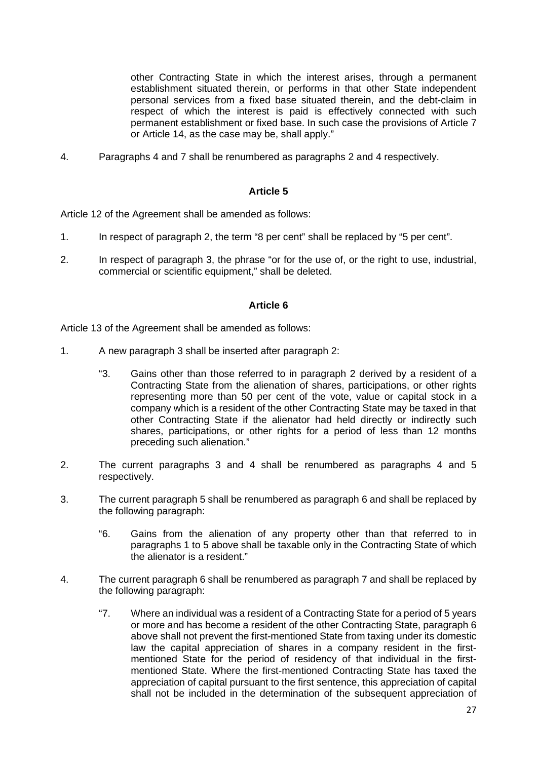other Contracting State in which the interest arises, through a permanent establishment situated therein, or performs in that other State independent personal services from a fixed base situated therein, and the debt-claim in respect of which the interest is paid is effectively connected with such permanent establishment or fixed base. In such case the provisions of Article 7 or Article 14, as the case may be, shall apply."

4. Paragraphs 4 and 7 shall be renumbered as paragraphs 2 and 4 respectively.

#### **Article 5**

Article 12 of the Agreement shall be amended as follows:

- 1. In respect of paragraph 2, the term "8 per cent" shall be replaced by "5 per cent".
- 2. In respect of paragraph 3, the phrase "or for the use of, or the right to use, industrial, commercial or scientific equipment," shall be deleted.

#### **Article 6**

Article 13 of the Agreement shall be amended as follows:

- 1. A new paragraph 3 shall be inserted after paragraph 2:
	- "3. Gains other than those referred to in paragraph 2 derived by a resident of a Contracting State from the alienation of shares, participations, or other rights representing more than 50 per cent of the vote, value or capital stock in a company which is a resident of the other Contracting State may be taxed in that other Contracting State if the alienator had held directly or indirectly such shares, participations, or other rights for a period of less than 12 months preceding such alienation."
- 2. The current paragraphs 3 and 4 shall be renumbered as paragraphs 4 and 5 respectively.
- 3. The current paragraph 5 shall be renumbered as paragraph 6 and shall be replaced by the following paragraph:
	- "6. Gains from the alienation of any property other than that referred to in paragraphs 1 to 5 above shall be taxable only in the Contracting State of which the alienator is a resident."
- 4. The current paragraph 6 shall be renumbered as paragraph 7 and shall be replaced by the following paragraph:
	- "7. Where an individual was a resident of a Contracting State for a period of 5 years or more and has become a resident of the other Contracting State, paragraph 6 above shall not prevent the first-mentioned State from taxing under its domestic law the capital appreciation of shares in a company resident in the firstmentioned State for the period of residency of that individual in the firstmentioned State. Where the first-mentioned Contracting State has taxed the appreciation of capital pursuant to the first sentence, this appreciation of capital shall not be included in the determination of the subsequent appreciation of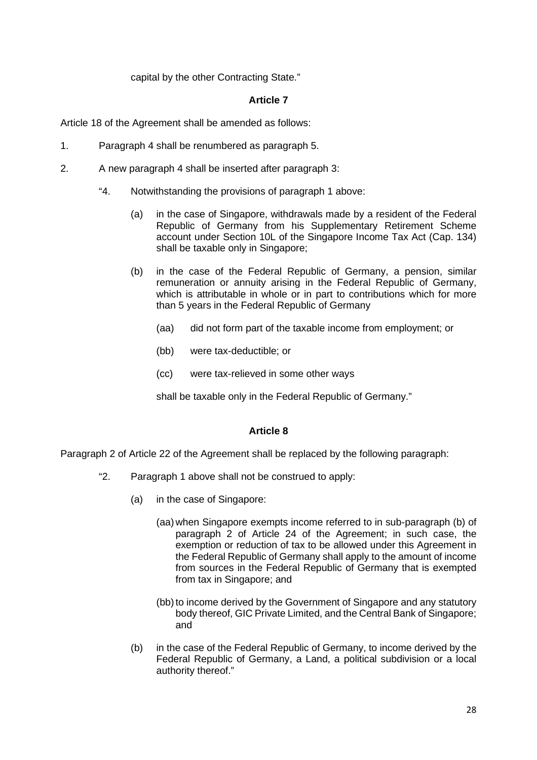capital by the other Contracting State."

## **Article 7**

Article 18 of the Agreement shall be amended as follows:

- 1. Paragraph 4 shall be renumbered as paragraph 5.
- 2. A new paragraph 4 shall be inserted after paragraph 3:
	- "4. Notwithstanding the provisions of paragraph 1 above:
		- (a) in the case of Singapore, withdrawals made by a resident of the Federal Republic of Germany from his Supplementary Retirement Scheme account under Section 10L of the Singapore Income Tax Act (Cap. 134) shall be taxable only in Singapore;
		- (b) in the case of the Federal Republic of Germany, a pension, similar remuneration or annuity arising in the Federal Republic of Germany, which is attributable in whole or in part to contributions which for more than 5 years in the Federal Republic of Germany
			- (aa) did not form part of the taxable income from employment; or
			- (bb) were tax-deductible; or
			- (cc) were tax-relieved in some other ways

shall be taxable only in the Federal Republic of Germany."

## **Article 8**

Paragraph 2 of Article 22 of the Agreement shall be replaced by the following paragraph:

- "2. Paragraph 1 above shall not be construed to apply:
	- (a) in the case of Singapore:
		- (aa) when Singapore exempts income referred to in sub-paragraph (b) of paragraph 2 of Article 24 of the Agreement; in such case, the exemption or reduction of tax to be allowed under this Agreement in the Federal Republic of Germany shall apply to the amount of income from sources in the Federal Republic of Germany that is exempted from tax in Singapore; and
		- (bb) to income derived by the Government of Singapore and any statutory body thereof, GIC Private Limited, and the Central Bank of Singapore; and
	- (b) in the case of the Federal Republic of Germany, to income derived by the Federal Republic of Germany, a Land, a political subdivision or a local authority thereof."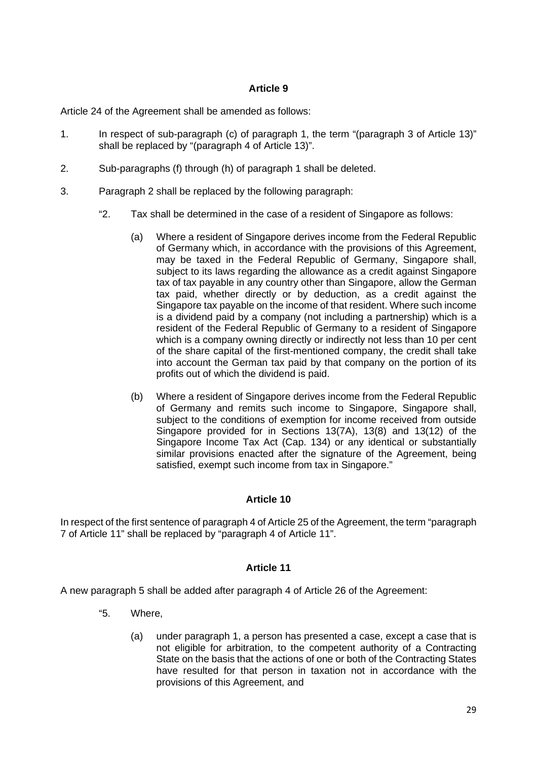## **Article 9**

Article 24 of the Agreement shall be amended as follows:

- 1. In respect of sub-paragraph (c) of paragraph 1, the term "(paragraph 3 of Article 13)" shall be replaced by "(paragraph 4 of Article 13)".
- 2. Sub-paragraphs (f) through (h) of paragraph 1 shall be deleted.
- 3. Paragraph 2 shall be replaced by the following paragraph:
	- "2. Tax shall be determined in the case of a resident of Singapore as follows:
		- (a) Where a resident of Singapore derives income from the Federal Republic of Germany which, in accordance with the provisions of this Agreement, may be taxed in the Federal Republic of Germany, Singapore shall, subject to its laws regarding the allowance as a credit against Singapore tax of tax payable in any country other than Singapore, allow the German tax paid, whether directly or by deduction, as a credit against the Singapore tax payable on the income of that resident. Where such income is a dividend paid by a company (not including a partnership) which is a resident of the Federal Republic of Germany to a resident of Singapore which is a company owning directly or indirectly not less than 10 per cent of the share capital of the first-mentioned company, the credit shall take into account the German tax paid by that company on the portion of its profits out of which the dividend is paid.
		- (b) Where a resident of Singapore derives income from the Federal Republic of Germany and remits such income to Singapore, Singapore shall, subject to the conditions of exemption for income received from outside Singapore provided for in Sections 13(7A), 13(8) and 13(12) of the Singapore Income Tax Act (Cap. 134) or any identical or substantially similar provisions enacted after the signature of the Agreement, being satisfied, exempt such income from tax in Singapore."

# **Article 10**

In respect of the first sentence of paragraph 4 of Article 25 of the Agreement, the term "paragraph 7 of Article 11" shall be replaced by "paragraph 4 of Article 11".

## **Article 11**

A new paragraph 5 shall be added after paragraph 4 of Article 26 of the Agreement:

- "5. Where,
	- (a) under paragraph 1, a person has presented a case, except a case that is not eligible for arbitration, to the competent authority of a Contracting State on the basis that the actions of one or both of the Contracting States have resulted for that person in taxation not in accordance with the provisions of this Agreement, and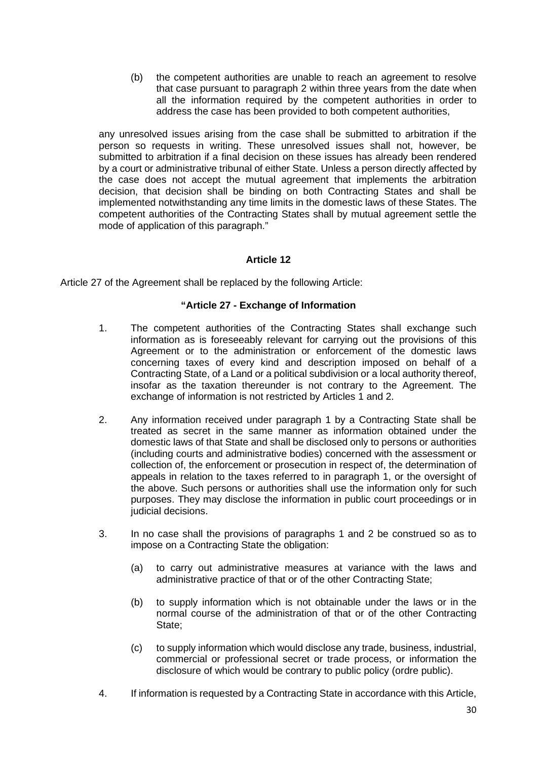(b) the competent authorities are unable to reach an agreement to resolve that case pursuant to paragraph 2 within three years from the date when all the information required by the competent authorities in order to address the case has been provided to both competent authorities,

any unresolved issues arising from the case shall be submitted to arbitration if the person so requests in writing. These unresolved issues shall not, however, be submitted to arbitration if a final decision on these issues has already been rendered by a court or administrative tribunal of either State. Unless a person directly affected by the case does not accept the mutual agreement that implements the arbitration decision, that decision shall be binding on both Contracting States and shall be implemented notwithstanding any time limits in the domestic laws of these States. The competent authorities of the Contracting States shall by mutual agreement settle the mode of application of this paragraph."

## **Article 12**

Article 27 of the Agreement shall be replaced by the following Article:

#### **"Article 27 - Exchange of Information**

- 1. The competent authorities of the Contracting States shall exchange such information as is foreseeably relevant for carrying out the provisions of this Agreement or to the administration or enforcement of the domestic laws concerning taxes of every kind and description imposed on behalf of a Contracting State, of a Land or a political subdivision or a local authority thereof, insofar as the taxation thereunder is not contrary to the Agreement. The exchange of information is not restricted by Articles 1 and 2.
- 2. Any information received under paragraph 1 by a Contracting State shall be treated as secret in the same manner as information obtained under the domestic laws of that State and shall be disclosed only to persons or authorities (including courts and administrative bodies) concerned with the assessment or collection of, the enforcement or prosecution in respect of, the determination of appeals in relation to the taxes referred to in paragraph 1, or the oversight of the above. Such persons or authorities shall use the information only for such purposes. They may disclose the information in public court proceedings or in judicial decisions.
- 3. In no case shall the provisions of paragraphs 1 and 2 be construed so as to impose on a Contracting State the obligation:
	- (a) to carry out administrative measures at variance with the laws and administrative practice of that or of the other Contracting State;
	- (b) to supply information which is not obtainable under the laws or in the normal course of the administration of that or of the other Contracting State;
	- (c) to supply information which would disclose any trade, business, industrial, commercial or professional secret or trade process, or information the disclosure of which would be contrary to public policy (ordre public).
- 4. If information is requested by a Contracting State in accordance with this Article,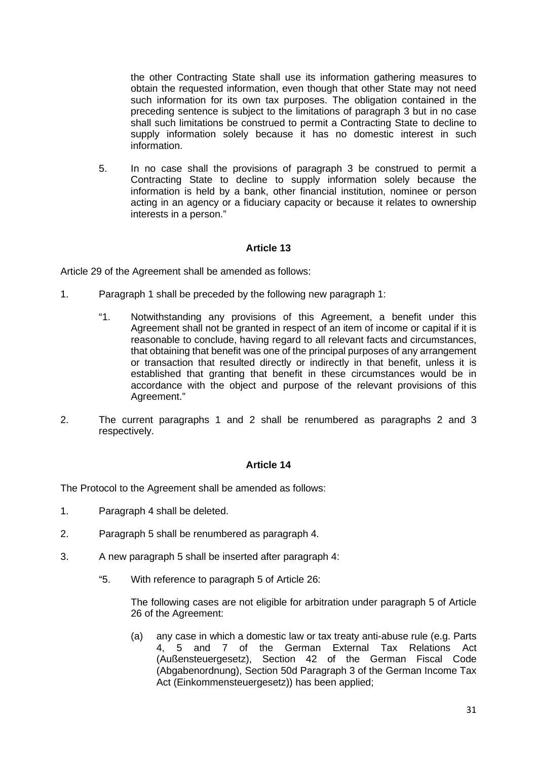the other Contracting State shall use its information gathering measures to obtain the requested information, even though that other State may not need such information for its own tax purposes. The obligation contained in the preceding sentence is subject to the limitations of paragraph 3 but in no case shall such limitations be construed to permit a Contracting State to decline to supply information solely because it has no domestic interest in such information.

5. In no case shall the provisions of paragraph 3 be construed to permit a Contracting State to decline to supply information solely because the information is held by a bank, other financial institution, nominee or person acting in an agency or a fiduciary capacity or because it relates to ownership interests in a person."

## **Article 13**

Article 29 of the Agreement shall be amended as follows:

- 1. Paragraph 1 shall be preceded by the following new paragraph 1:
	- "1. Notwithstanding any provisions of this Agreement, a benefit under this Agreement shall not be granted in respect of an item of income or capital if it is reasonable to conclude, having regard to all relevant facts and circumstances, that obtaining that benefit was one of the principal purposes of any arrangement or transaction that resulted directly or indirectly in that benefit, unless it is established that granting that benefit in these circumstances would be in accordance with the object and purpose of the relevant provisions of this Agreement."
- 2. The current paragraphs 1 and 2 shall be renumbered as paragraphs 2 and 3 respectively.

## **Article 14**

The Protocol to the Agreement shall be amended as follows:

- 1. Paragraph 4 shall be deleted.
- 2. Paragraph 5 shall be renumbered as paragraph 4.
- 3. A new paragraph 5 shall be inserted after paragraph 4:
	- "5. With reference to paragraph 5 of Article 26:

The following cases are not eligible for arbitration under paragraph 5 of Article 26 of the Agreement:

(a) any case in which a domestic law or tax treaty anti-abuse rule (e.g. Parts 4, 5 and 7 of the German External Tax Relations Act (Außensteuergesetz), Section 42 of the German Fiscal Code (Abgabenordnung), Section 50d Paragraph 3 of the German Income Tax Act (Einkommensteuergesetz)) has been applied;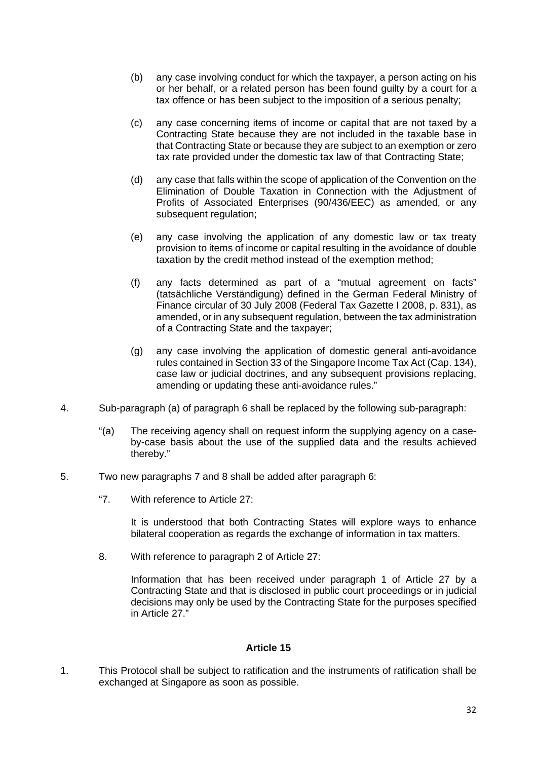- (b) any case involving conduct for which the taxpayer, a person acting on his or her behalf, or a related person has been found guilty by a court for a tax offence or has been subject to the imposition of a serious penalty;
- (c) any case concerning items of income or capital that are not taxed by a Contracting State because they are not included in the taxable base in that Contracting State or because they are subject to an exemption or zero tax rate provided under the domestic tax law of that Contracting State;
- (d) any case that falls within the scope of application of the Convention on the Elimination of Double Taxation in Connection with the Adjustment of Profits of Associated Enterprises (90/436/EEC) as amended, or any subsequent regulation;
- (e) any case involving the application of any domestic law or tax treaty provision to items of income or capital resulting in the avoidance of double taxation by the credit method instead of the exemption method;
- (f) any facts determined as part of a "mutual agreement on facts" (tatsächliche Verständigung) defined in the German Federal Ministry of Finance circular of 30 July 2008 (Federal Tax Gazette I 2008, p. 831), as amended, or in any subsequent regulation, between the tax administration of a Contracting State and the taxpayer;
- (g) any case involving the application of domestic general anti-avoidance rules contained in Section 33 of the Singapore Income Tax Act (Cap. 134), case law or judicial doctrines, and any subsequent provisions replacing, amending or updating these anti-avoidance rules."
- 4. Sub-paragraph (a) of paragraph 6 shall be replaced by the following sub-paragraph:
	- "(a) The receiving agency shall on request inform the supplying agency on a caseby-case basis about the use of the supplied data and the results achieved thereby."
- 5. Two new paragraphs 7 and 8 shall be added after paragraph 6:
	- "7. With reference to Article 27:

It is understood that both Contracting States will explore ways to enhance bilateral cooperation as regards the exchange of information in tax matters.

8. With reference to paragraph 2 of Article 27:

Information that has been received under paragraph 1 of Article 27 by a Contracting State and that is disclosed in public court proceedings or in judicial decisions may only be used by the Contracting State for the purposes specified in Article 27."

# **Article 15**

1. This Protocol shall be subject to ratification and the instruments of ratification shall be exchanged at Singapore as soon as possible.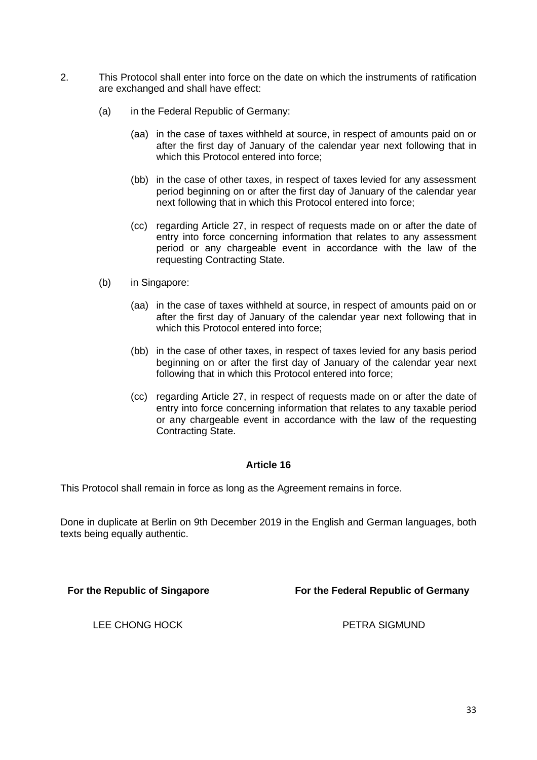- 2. This Protocol shall enter into force on the date on which the instruments of ratification are exchanged and shall have effect:
	- (a) in the Federal Republic of Germany:
		- (aa) in the case of taxes withheld at source, in respect of amounts paid on or after the first day of January of the calendar year next following that in which this Protocol entered into force:
		- (bb) in the case of other taxes, in respect of taxes levied for any assessment period beginning on or after the first day of January of the calendar year next following that in which this Protocol entered into force;
		- (cc) regarding Article 27, in respect of requests made on or after the date of entry into force concerning information that relates to any assessment period or any chargeable event in accordance with the law of the requesting Contracting State.
	- (b) in Singapore:
		- (aa) in the case of taxes withheld at source, in respect of amounts paid on or after the first day of January of the calendar year next following that in which this Protocol entered into force:
		- (bb) in the case of other taxes, in respect of taxes levied for any basis period beginning on or after the first day of January of the calendar year next following that in which this Protocol entered into force;
		- (cc) regarding Article 27, in respect of requests made on or after the date of entry into force concerning information that relates to any taxable period or any chargeable event in accordance with the law of the requesting Contracting State.

## **Article 16**

This Protocol shall remain in force as long as the Agreement remains in force.

Done in duplicate at Berlin on 9th December 2019 in the English and German languages, both texts being equally authentic.

**For the Republic of Singapore For the Federal Republic of Germany**

LEE CHONG HOCK PETRA SIGMUND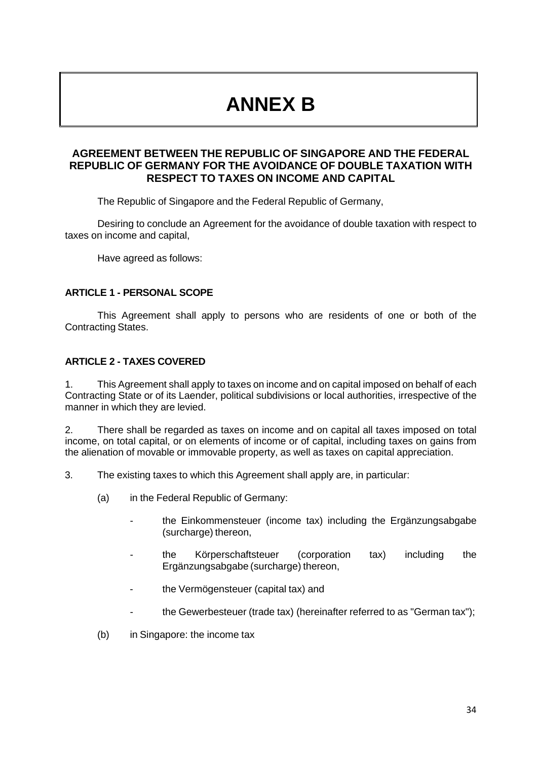# **ANNEX B**

# **AGREEMENT BETWEEN THE REPUBLIC OF SINGAPORE AND THE FEDERAL REPUBLIC OF GERMANY FOR THE AVOIDANCE OF DOUBLE TAXATION WITH RESPECT TO TAXES ON INCOME AND CAPITAL**

The Republic of Singapore and the Federal Republic of Germany,

Desiring to conclude an Agreement for the avoidance of double taxation with respect to taxes on income and capital,

Have agreed as follows:

## **ARTICLE 1 - PERSONAL SCOPE**

This Agreement shall apply to persons who are residents of one or both of the Contracting States.

## **ARTICLE 2 - TAXES COVERED**

1. This Agreement shall apply to taxes on income and on capital imposed on behalf of each Contracting State or of its Laender, political subdivisions or local authorities, irrespective of the manner in which they are levied.

2. There shall be regarded as taxes on income and on capital all taxes imposed on total income, on total capital, or on elements of income or of capital, including taxes on gains from the alienation of movable or immovable property, as well as taxes on capital appreciation.

- 3. The existing taxes to which this Agreement shall apply are, in particular:
	- (a) in the Federal Republic of Germany:
		- the Einkommensteuer (income tax) including the Ergänzungsabgabe (surcharge) thereon,
		- the Körperschaftsteuer (corporation tax) including the Ergänzungsabgabe (surcharge) thereon,
		- the Vermögensteuer (capital tax) and
		- the Gewerbesteuer (trade tax) (hereinafter referred to as "German tax");
	- (b) in Singapore: the income tax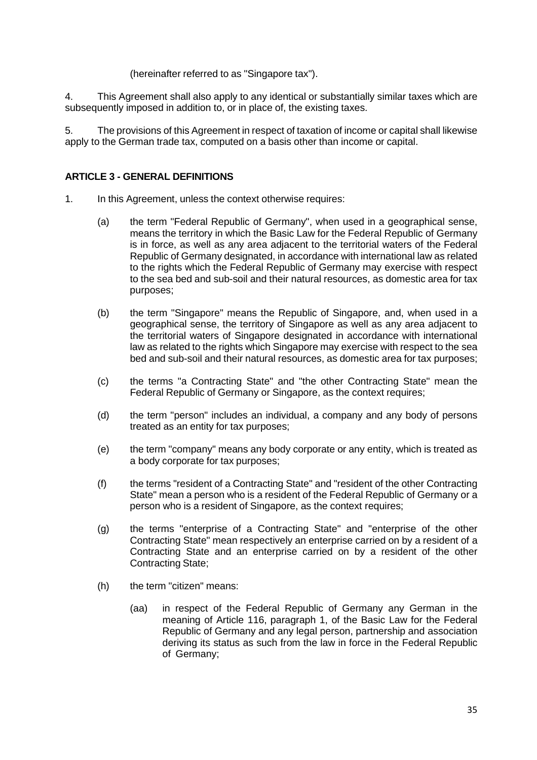(hereinafter referred to as "Singapore tax").

4. This Agreement shall also apply to any identical or substantially similar taxes which are subsequently imposed in addition to, or in place of, the existing taxes.

5. The provisions of this Agreement in respect of taxation of income or capital shall likewise apply to the German trade tax, computed on a basis other than income or capital.

## **ARTICLE 3 - GENERAL DEFINITIONS**

- 1. In this Agreement, unless the context otherwise requires:
	- (a) the term "Federal Republic of Germany", when used in a geographical sense, means the territory in which the Basic Law for the Federal Republic of Germany is in force, as well as any area adjacent to the territorial waters of the Federal Republic of Germany designated, in accordance with international law as related to the rights which the Federal Republic of Germany may exercise with respect to the sea bed and sub-soil and their natural resources, as domestic area for tax purposes;
	- (b) the term "Singapore" means the Republic of Singapore, and, when used in a geographical sense, the territory of Singapore as well as any area adjacent to the territorial waters of Singapore designated in accordance with international law as related to the rights which Singapore may exercise with respect to the sea bed and sub-soil and their natural resources, as domestic area for tax purposes;
	- (c) the terms "a Contracting State" and "the other Contracting State" mean the Federal Republic of Germany or Singapore, as the context requires;
	- (d) the term "person" includes an individual, a company and any body of persons treated as an entity for tax purposes;
	- (e) the term "company" means any body corporate or any entity, which is treated as a body corporate for tax purposes;
	- (f) the terms "resident of a Contracting State" and "resident of the other Contracting State" mean a person who is a resident of the Federal Republic of Germany or a person who is a resident of Singapore, as the context requires;
	- (g) the terms "enterprise of a Contracting State" and "enterprise of the other Contracting State" mean respectively an enterprise carried on by a resident of a Contracting State and an enterprise carried on by a resident of the other Contracting State;
	- (h) the term "citizen" means:
		- (aa) in respect of the Federal Republic of Germany any German in the meaning of Article 116, paragraph 1, of the Basic Law for the Federal Republic of Germany and any legal person, partnership and association deriving its status as such from the law in force in the Federal Republic of Germany;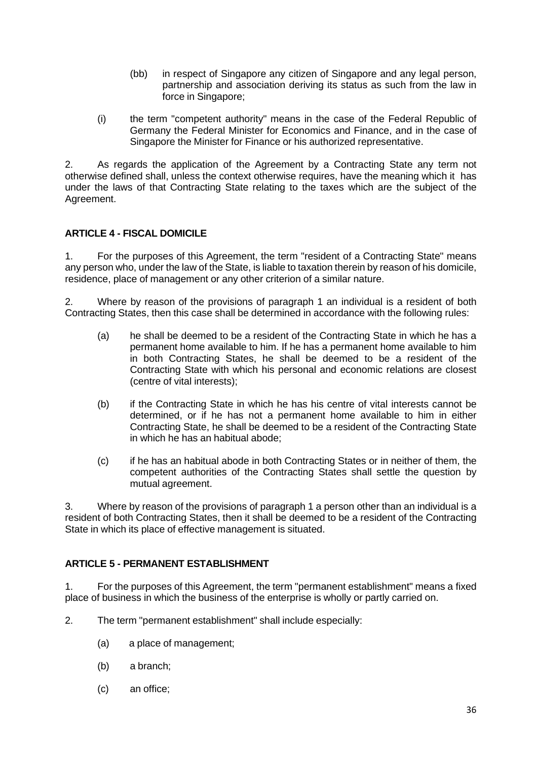- (bb) in respect of Singapore any citizen of Singapore and any legal person, partnership and association deriving its status as such from the law in force in Singapore;
- (i) the term "competent authority" means in the case of the Federal Republic of Germany the Federal Minister for Economics and Finance, and in the case of Singapore the Minister for Finance or his authorized representative.

2. As regards the application of the Agreement by a Contracting State any term not otherwise defined shall, unless the context otherwise requires, have the meaning which it has under the laws of that Contracting State relating to the taxes which are the subject of the Agreement.

# **ARTICLE 4 - FISCAL DOMICILE**

1. For the purposes of this Agreement, the term "resident of a Contracting State" means any person who, under the law of the State, is liable to taxation therein by reason of his domicile, residence, place of management or any other criterion of a similar nature.

2. Where by reason of the provisions of paragraph 1 an individual is a resident of both Contracting States, then this case shall be determined in accordance with the following rules:

- (a) he shall be deemed to be a resident of the Contracting State in which he has a permanent home available to him. If he has a permanent home available to him in both Contracting States, he shall be deemed to be a resident of the Contracting State with which his personal and economic relations are closest (centre of vital interests);
- (b) if the Contracting State in which he has his centre of vital interests cannot be determined, or if he has not a permanent home available to him in either Contracting State, he shall be deemed to be a resident of the Contracting State in which he has an habitual abode;
- (c) if he has an habitual abode in both Contracting States or in neither of them, the competent authorities of the Contracting States shall settle the question by mutual agreement.

3. Where by reason of the provisions of paragraph 1 a person other than an individual is a resident of both Contracting States, then it shall be deemed to be a resident of the Contracting State in which its place of effective management is situated.

## **ARTICLE 5 - PERMANENT ESTABLISHMENT**

1. For the purposes of this Agreement, the term "permanent establishment" means a fixed place of business in which the business of the enterprise is wholly or partly carried on.

- 2. The term "permanent establishment" shall include especially:
	- (a) a place of management;
	- (b) a branch;
	- (c) an office;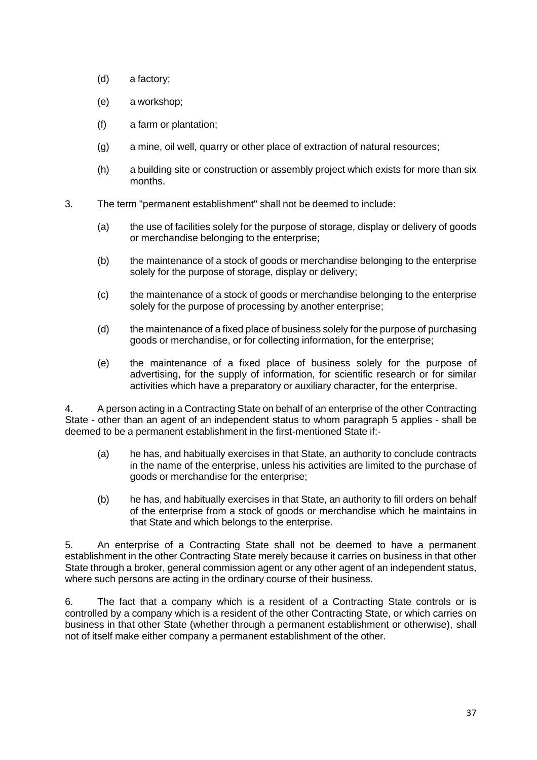- (d) a factory;
- (e) a workshop;
- (f) a farm or plantation;
- (g) a mine, oil well, quarry or other place of extraction of natural resources;
- (h) a building site or construction or assembly project which exists for more than six months.
- 3. The term "permanent establishment" shall not be deemed to include:
	- (a) the use of facilities solely for the purpose of storage, display or delivery of goods or merchandise belonging to the enterprise;
	- (b) the maintenance of a stock of goods or merchandise belonging to the enterprise solely for the purpose of storage, display or delivery;
	- (c) the maintenance of a stock of goods or merchandise belonging to the enterprise solely for the purpose of processing by another enterprise;
	- (d) the maintenance of a fixed place of business solely for the purpose of purchasing goods or merchandise, or for collecting information, for the enterprise;
	- (e) the maintenance of a fixed place of business solely for the purpose of advertising, for the supply of information, for scientific research or for similar activities which have a preparatory or auxiliary character, for the enterprise.

4. A person acting in a Contracting State on behalf of an enterprise of the other Contracting State - other than an agent of an independent status to whom paragraph 5 applies - shall be deemed to be a permanent establishment in the first-mentioned State if:-

- (a) he has, and habitually exercises in that State, an authority to conclude contracts in the name of the enterprise, unless his activities are limited to the purchase of goods or merchandise for the enterprise;
- (b) he has, and habitually exercises in that State, an authority to fill orders on behalf of the enterprise from a stock of goods or merchandise which he maintains in that State and which belongs to the enterprise.

5. An enterprise of a Contracting State shall not be deemed to have a permanent establishment in the other Contracting State merely because it carries on business in that other State through a broker, general commission agent or any other agent of an independent status, where such persons are acting in the ordinary course of their business.

6. The fact that a company which is a resident of a Contracting State controls or is controlled by a company which is a resident of the other Contracting State, or which carries on business in that other State (whether through a permanent establishment or otherwise), shall not of itself make either company a permanent establishment of the other.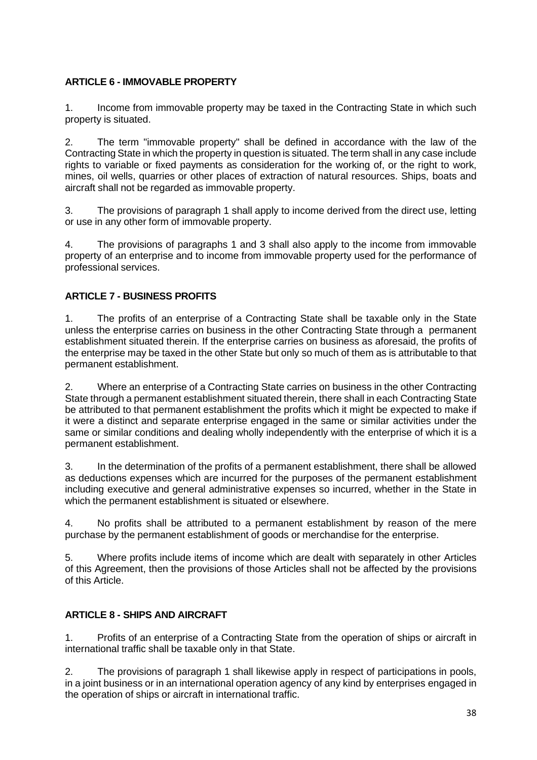# **ARTICLE 6 - IMMOVABLE PROPERTY**

1. Income from immovable property may be taxed in the Contracting State in which such property is situated.

2. The term "immovable property" shall be defined in accordance with the law of the Contracting State in which the property in question is situated. The term shall in any case include rights to variable or fixed payments as consideration for the working of, or the right to work, mines, oil wells, quarries or other places of extraction of natural resources. Ships, boats and aircraft shall not be regarded as immovable property.

3. The provisions of paragraph 1 shall apply to income derived from the direct use, letting or use in any other form of immovable property.

4. The provisions of paragraphs 1 and 3 shall also apply to the income from immovable property of an enterprise and to income from immovable property used for the performance of professional services.

# **ARTICLE 7 - BUSINESS PROFITS**

1. The profits of an enterprise of a Contracting State shall be taxable only in the State unless the enterprise carries on business in the other Contracting State through a permanent establishment situated therein. If the enterprise carries on business as aforesaid, the profits of the enterprise may be taxed in the other State but only so much of them as is attributable to that permanent establishment.

2. Where an enterprise of a Contracting State carries on business in the other Contracting State through a permanent establishment situated therein, there shall in each Contracting State be attributed to that permanent establishment the profits which it might be expected to make if it were a distinct and separate enterprise engaged in the same or similar activities under the same or similar conditions and dealing wholly independently with the enterprise of which it is a permanent establishment.

3. In the determination of the profits of a permanent establishment, there shall be allowed as deductions expenses which are incurred for the purposes of the permanent establishment including executive and general administrative expenses so incurred, whether in the State in which the permanent establishment is situated or elsewhere.

4. No profits shall be attributed to a permanent establishment by reason of the mere purchase by the permanent establishment of goods or merchandise for the enterprise.

5. Where profits include items of income which are dealt with separately in other Articles of this Agreement, then the provisions of those Articles shall not be affected by the provisions of this Article.

# **ARTICLE 8 - SHIPS AND AIRCRAFT**

1. Profits of an enterprise of a Contracting State from the operation of ships or aircraft in international traffic shall be taxable only in that State.

2. The provisions of paragraph 1 shall likewise apply in respect of participations in pools, in a joint business or in an international operation agency of any kind by enterprises engaged in the operation of ships or aircraft in international traffic.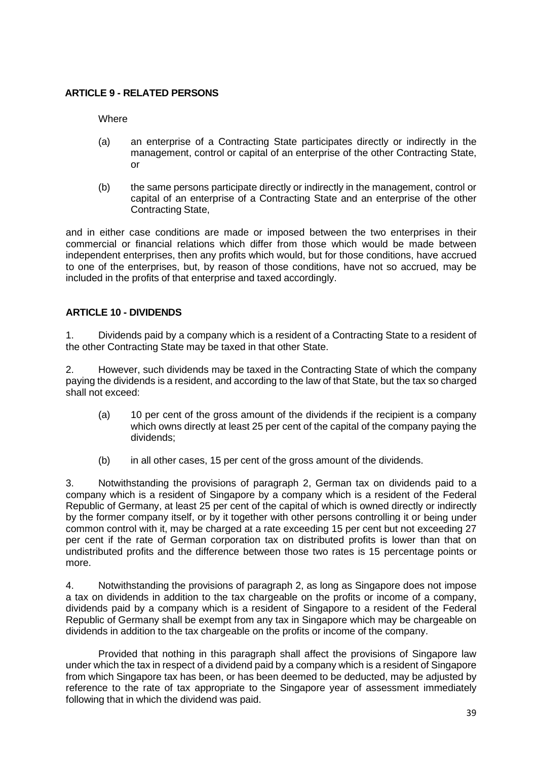## **ARTICLE 9 - RELATED PERSONS**

**Where** 

- (a) an enterprise of a Contracting State participates directly or indirectly in the management, control or capital of an enterprise of the other Contracting State, or
- (b) the same persons participate directly or indirectly in the management, control or capital of an enterprise of a Contracting State and an enterprise of the other Contracting State,

and in either case conditions are made or imposed between the two enterprises in their commercial or financial relations which differ from those which would be made between independent enterprises, then any profits which would, but for those conditions, have accrued to one of the enterprises, but, by reason of those conditions, have not so accrued, may be included in the profits of that enterprise and taxed accordingly.

## **ARTICLE 10 - DIVIDENDS**

1. Dividends paid by a company which is a resident of a Contracting State to a resident of the other Contracting State may be taxed in that other State.

2. However, such dividends may be taxed in the Contracting State of which the company paying the dividends is a resident, and according to the law of that State, but the tax so charged shall not exceed:

- (a) 10 per cent of the gross amount of the dividends if the recipient is a company which owns directly at least 25 per cent of the capital of the company paying the dividends;
- (b) in all other cases, 15 per cent of the gross amount of the dividends.

3. Notwithstanding the provisions of paragraph 2, German tax on dividends paid to a company which is a resident of Singapore by a company which is a resident of the Federal Republic of Germany, at least 25 per cent of the capital of which is owned directly or indirectly by the former company itself, or by it together with other persons controlling it or being under common control with it, may be charged at a rate exceeding 15 per cent but not exceeding 27 per cent if the rate of German corporation tax on distributed profits is lower than that on undistributed profits and the difference between those two rates is 15 percentage points or more.

4. Notwithstanding the provisions of paragraph 2, as long as Singapore does not impose a tax on dividends in addition to the tax chargeable on the profits or income of a company, dividends paid by a company which is a resident of Singapore to a resident of the Federal Republic of Germany shall be exempt from any tax in Singapore which may be chargeable on dividends in addition to the tax chargeable on the profits or income of the company.

Provided that nothing in this paragraph shall affect the provisions of Singapore law under which the tax in respect of a dividend paid by a company which is a resident of Singapore from which Singapore tax has been, or has been deemed to be deducted, may be adjusted by reference to the rate of tax appropriate to the Singapore year of assessment immediately following that in which the dividend was paid.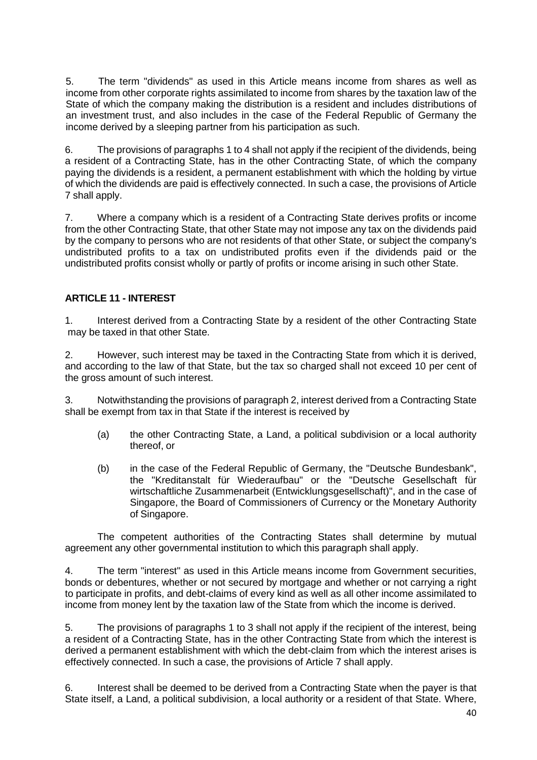5. The term "dividends" as used in this Article means income from shares as well as income from other corporate rights assimilated to income from shares by the taxation law of the State of which the company making the distribution is a resident and includes distributions of an investment trust, and also includes in the case of the Federal Republic of Germany the income derived by a sleeping partner from his participation as such.

6. The provisions of paragraphs 1 to 4 shall not apply if the recipient of the dividends, being a resident of a Contracting State, has in the other Contracting State, of which the company paying the dividends is a resident, a permanent establishment with which the holding by virtue of which the dividends are paid is effectively connected. In such a case, the provisions of Article 7 shall apply.

7. Where a company which is a resident of a Contracting State derives profits or income from the other Contracting State, that other State may not impose any tax on the dividends paid by the company to persons who are not residents of that other State, or subject the company's undistributed profits to a tax on undistributed profits even if the dividends paid or the undistributed profits consist wholly or partly of profits or income arising in such other State.

## **ARTICLE 11 - INTEREST**

1. Interest derived from a Contracting State by a resident of the other Contracting State may be taxed in that other State.

2. However, such interest may be taxed in the Contracting State from which it is derived, and according to the law of that State, but the tax so charged shall not exceed 10 per cent of the gross amount of such interest.

3. Notwithstanding the provisions of paragraph 2, interest derived from a Contracting State shall be exempt from tax in that State if the interest is received by

- (a) the other Contracting State, a Land, a political subdivision or a local authority thereof, or
- (b) in the case of the Federal Republic of Germany, the "Deutsche Bundesbank", the "Kreditanstalt für Wiederaufbau" or the "Deutsche Gesellschaft für wirtschaftliche Zusammenarbeit (Entwicklungsgesellschaft)", and in the case of Singapore, the Board of Commissioners of Currency or the Monetary Authority of Singapore.

The competent authorities of the Contracting States shall determine by mutual agreement any other governmental institution to which this paragraph shall apply.

4. The term "interest" as used in this Article means income from Government securities, bonds or debentures, whether or not secured by mortgage and whether or not carrying a right to participate in profits, and debt-claims of every kind as well as all other income assimilated to income from money lent by the taxation law of the State from which the income is derived.

5. The provisions of paragraphs 1 to 3 shall not apply if the recipient of the interest, being a resident of a Contracting State, has in the other Contracting State from which the interest is derived a permanent establishment with which the debt-claim from which the interest arises is effectively connected. In such a case, the provisions of Article 7 shall apply.

6. Interest shall be deemed to be derived from a Contracting State when the payer is that State itself, a Land, a political subdivision, a local authority or a resident of that State. Where,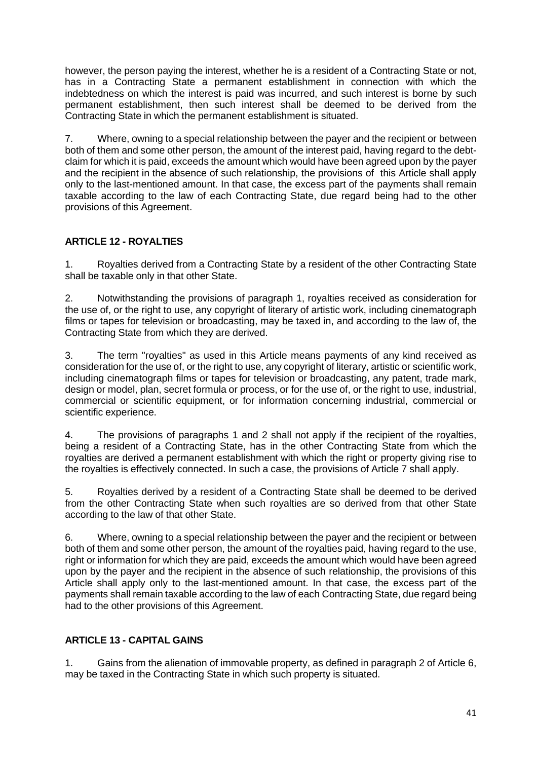however, the person paying the interest, whether he is a resident of a Contracting State or not, has in a Contracting State a permanent establishment in connection with which the indebtedness on which the interest is paid was incurred, and such interest is borne by such permanent establishment, then such interest shall be deemed to be derived from the Contracting State in which the permanent establishment is situated.

7. Where, owning to a special relationship between the payer and the recipient or between both of them and some other person, the amount of the interest paid, having regard to the debtclaim for which it is paid, exceeds the amount which would have been agreed upon by the payer and the recipient in the absence of such relationship, the provisions of this Article shall apply only to the last-mentioned amount. In that case, the excess part of the payments shall remain taxable according to the law of each Contracting State, due regard being had to the other provisions of this Agreement.

# **ARTICLE 12 - ROYALTIES**

1. Royalties derived from a Contracting State by a resident of the other Contracting State shall be taxable only in that other State.

2. Notwithstanding the provisions of paragraph 1, royalties received as consideration for the use of, or the right to use, any copyright of literary of artistic work, including cinematograph films or tapes for television or broadcasting, may be taxed in, and according to the law of, the Contracting State from which they are derived.

3. The term "royalties" as used in this Article means payments of any kind received as consideration for the use of, or the right to use, any copyright of literary, artistic or scientific work, including cinematograph films or tapes for television or broadcasting, any patent, trade mark, design or model, plan, secret formula or process, or for the use of, or the right to use, industrial, commercial or scientific equipment, or for information concerning industrial, commercial or scientific experience.

4. The provisions of paragraphs 1 and 2 shall not apply if the recipient of the royalties, being a resident of a Contracting State, has in the other Contracting State from which the royalties are derived a permanent establishment with which the right or property giving rise to the royalties is effectively connected. In such a case, the provisions of Article 7 shall apply.

5. Royalties derived by a resident of a Contracting State shall be deemed to be derived from the other Contracting State when such royalties are so derived from that other State according to the law of that other State.

6. Where, owning to a special relationship between the payer and the recipient or between both of them and some other person, the amount of the royalties paid, having regard to the use, right or information for which they are paid, exceeds the amount which would have been agreed upon by the payer and the recipient in the absence of such relationship, the provisions of this Article shall apply only to the last-mentioned amount. In that case, the excess part of the payments shall remain taxable according to the law of each Contracting State, due regard being had to the other provisions of this Agreement.

# **ARTICLE 13 - CAPITAL GAINS**

1. Gains from the alienation of immovable property, as defined in paragraph 2 of Article 6, may be taxed in the Contracting State in which such property is situated.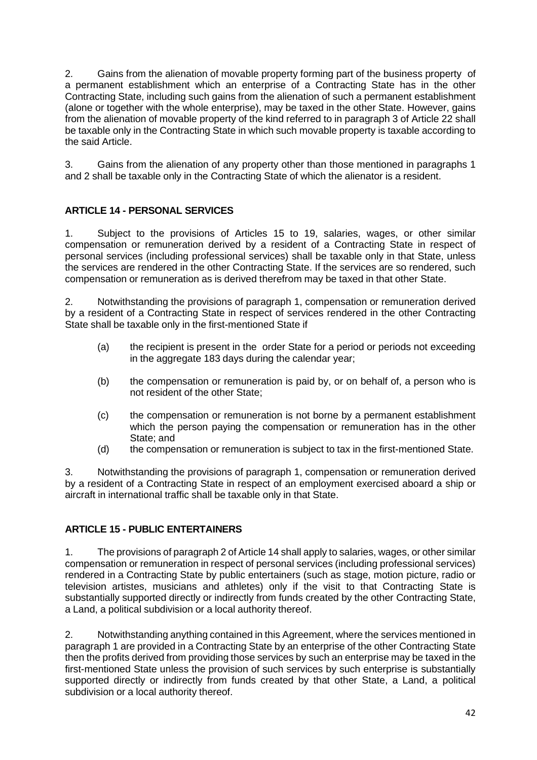2. Gains from the alienation of movable property forming part of the business property of a permanent establishment which an enterprise of a Contracting State has in the other Contracting State, including such gains from the alienation of such a permanent establishment (alone or together with the whole enterprise), may be taxed in the other State. However, gains from the alienation of movable property of the kind referred to in paragraph 3 of Article 22 shall be taxable only in the Contracting State in which such movable property is taxable according to the said Article.

3. Gains from the alienation of any property other than those mentioned in paragraphs 1 and 2 shall be taxable only in the Contracting State of which the alienator is a resident.

# **ARTICLE 14 - PERSONAL SERVICES**

1. Subject to the provisions of Articles 15 to 19, salaries, wages, or other similar compensation or remuneration derived by a resident of a Contracting State in respect of personal services (including professional services) shall be taxable only in that State, unless the services are rendered in the other Contracting State. If the services are so rendered, such compensation or remuneration as is derived therefrom may be taxed in that other State.

2. Notwithstanding the provisions of paragraph 1, compensation or remuneration derived by a resident of a Contracting State in respect of services rendered in the other Contracting State shall be taxable only in the first-mentioned State if

- (a) the recipient is present in the order State for a period or periods not exceeding in the aggregate 183 days during the calendar year;
- (b) the compensation or remuneration is paid by, or on behalf of, a person who is not resident of the other State;
- (c) the compensation or remuneration is not borne by a permanent establishment which the person paying the compensation or remuneration has in the other State; and
- (d) the compensation or remuneration is subject to tax in the first-mentioned State.

3. Notwithstanding the provisions of paragraph 1, compensation or remuneration derived by a resident of a Contracting State in respect of an employment exercised aboard a ship or aircraft in international traffic shall be taxable only in that State.

# **ARTICLE 15 - PUBLIC ENTERTAINERS**

1. The provisions of paragraph 2 of Article 14 shall apply to salaries, wages, or other similar compensation or remuneration in respect of personal services (including professional services) rendered in a Contracting State by public entertainers (such as stage, motion picture, radio or television artistes, musicians and athletes) only if the visit to that Contracting State is substantially supported directly or indirectly from funds created by the other Contracting State, a Land, a political subdivision or a local authority thereof.

2. Notwithstanding anything contained in this Agreement, where the services mentioned in paragraph 1 are provided in a Contracting State by an enterprise of the other Contracting State then the profits derived from providing those services by such an enterprise may be taxed in the first-mentioned State unless the provision of such services by such enterprise is substantially supported directly or indirectly from funds created by that other State, a Land, a political subdivision or a local authority thereof.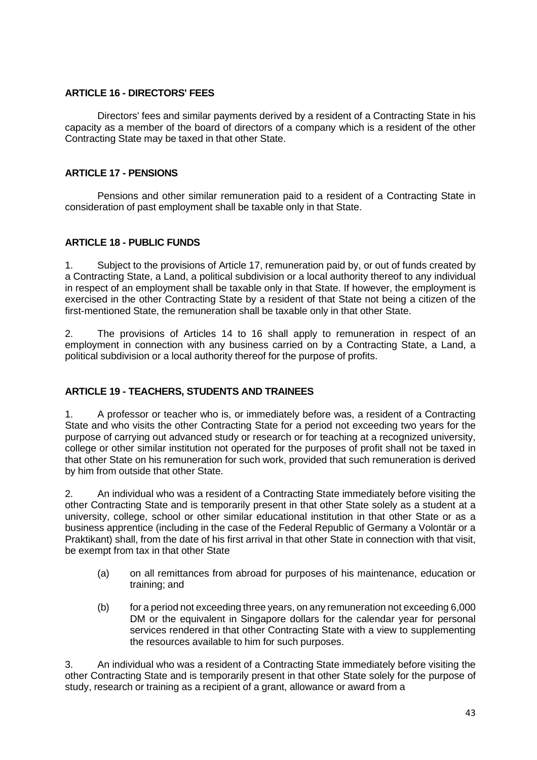## **ARTICLE 16 - DIRECTORS' FEES**

Directors' fees and similar payments derived by a resident of a Contracting State in his capacity as a member of the board of directors of a company which is a resident of the other Contracting State may be taxed in that other State.

## **ARTICLE 17 - PENSIONS**

Pensions and other similar remuneration paid to a resident of a Contracting State in consideration of past employment shall be taxable only in that State.

## **ARTICLE 18 - PUBLIC FUNDS**

1. Subject to the provisions of Article 17, remuneration paid by, or out of funds created by a Contracting State, a Land, a political subdivision or a local authority thereof to any individual in respect of an employment shall be taxable only in that State. If however, the employment is exercised in the other Contracting State by a resident of that State not being a citizen of the first-mentioned State, the remuneration shall be taxable only in that other State.

2. The provisions of Articles 14 to 16 shall apply to remuneration in respect of an employment in connection with any business carried on by a Contracting State, a Land, a political subdivision or a local authority thereof for the purpose of profits.

## **ARTICLE 19 - TEACHERS, STUDENTS AND TRAINEES**

1. A professor or teacher who is, or immediately before was, a resident of a Contracting State and who visits the other Contracting State for a period not exceeding two years for the purpose of carrying out advanced study or research or for teaching at a recognized university, college or other similar institution not operated for the purposes of profit shall not be taxed in that other State on his remuneration for such work, provided that such remuneration is derived by him from outside that other State.

2. An individual who was a resident of a Contracting State immediately before visiting the other Contracting State and is temporarily present in that other State solely as a student at a university, college, school or other similar educational institution in that other State or as a business apprentice (including in the case of the Federal Republic of Germany a Volontär or a Praktikant) shall, from the date of his first arrival in that other State in connection with that visit, be exempt from tax in that other State

- (a) on all remittances from abroad for purposes of his maintenance, education or training; and
- (b) for a period not exceeding three years, on any remuneration not exceeding 6,000 DM or the equivalent in Singapore dollars for the calendar year for personal services rendered in that other Contracting State with a view to supplementing the resources available to him for such purposes.

3. An individual who was a resident of a Contracting State immediately before visiting the other Contracting State and is temporarily present in that other State solely for the purpose of study, research or training as a recipient of a grant, allowance or award from a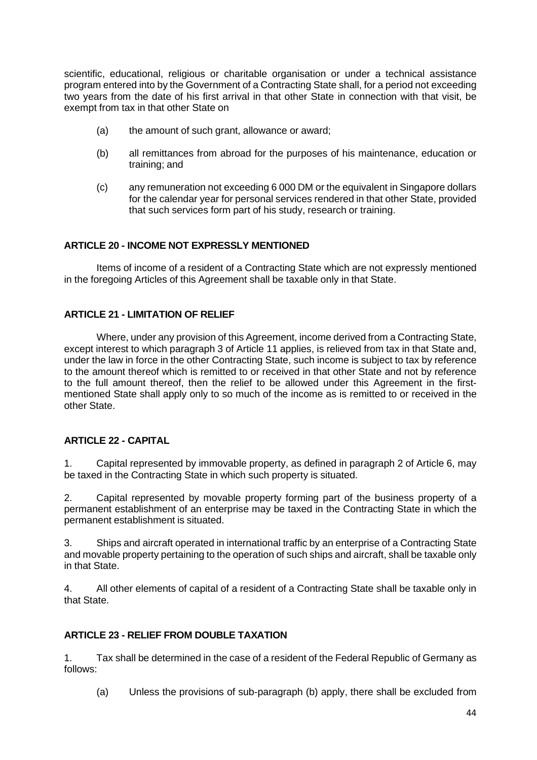scientific, educational, religious or charitable organisation or under a technical assistance program entered into by the Government of a Contracting State shall, for a period not exceeding two years from the date of his first arrival in that other State in connection with that visit, be exempt from tax in that other State on

- (a) the amount of such grant, allowance or award;
- (b) all remittances from abroad for the purposes of his maintenance, education or training; and
- (c) any remuneration not exceeding 6 000 DM or the equivalent in Singapore dollars for the calendar year for personal services rendered in that other State, provided that such services form part of his study, research or training.

# **ARTICLE 20 - INCOME NOT EXPRESSLY MENTIONED**

Items of income of a resident of a Contracting State which are not expressly mentioned in the foregoing Articles of this Agreement shall be taxable only in that State.

## **ARTICLE 21 - LIMITATION OF RELIEF**

Where, under any provision of this Agreement, income derived from a Contracting State, except interest to which paragraph 3 of Article 11 applies, is relieved from tax in that State and, under the law in force in the other Contracting State, such income is subject to tax by reference to the amount thereof which is remitted to or received in that other State and not by reference to the full amount thereof, then the relief to be allowed under this Agreement in the firstmentioned State shall apply only to so much of the income as is remitted to or received in the other State.

## **ARTICLE 22 - CAPITAL**

1. Capital represented by immovable property, as defined in paragraph 2 of Article 6, may be taxed in the Contracting State in which such property is situated.

2. Capital represented by movable property forming part of the business property of a permanent establishment of an enterprise may be taxed in the Contracting State in which the permanent establishment is situated.

3. Ships and aircraft operated in international traffic by an enterprise of a Contracting State and movable property pertaining to the operation of such ships and aircraft, shall be taxable only in that State.

4. All other elements of capital of a resident of a Contracting State shall be taxable only in that State.

# **ARTICLE 23 - RELIEF FROM DOUBLE TAXATION**

1. Tax shall be determined in the case of a resident of the Federal Republic of Germany as follows:

(a) Unless the provisions of sub-paragraph (b) apply, there shall be excluded from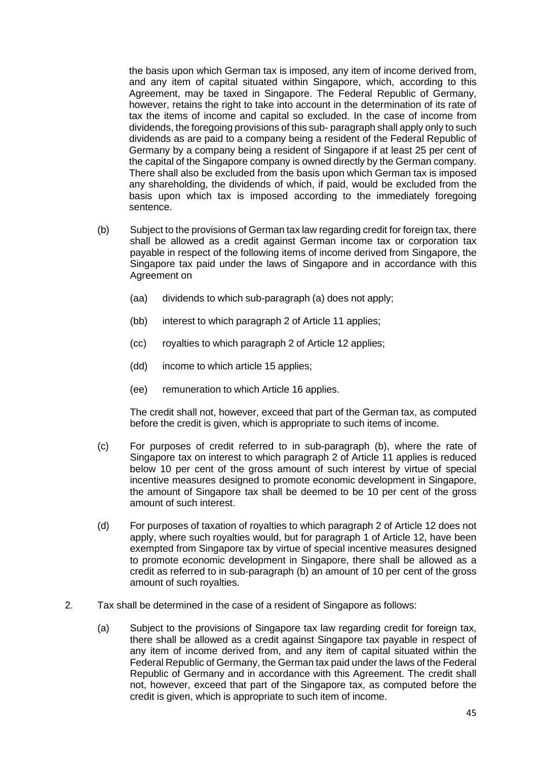the basis upon which German tax is imposed, any item of income derived from, and any item of capital situated within Singapore, which, according to this Agreement, may be taxed in Singapore. The Federal Republic of Germany, however, retains the right to take into account in the determination of its rate of tax the items of income and capital so excluded. In the case of income from dividends, the foregoing provisions of this sub- paragraph shall apply only to such dividends as are paid to a company being a resident of the Federal Republic of Germany by a company being a resident of Singapore if at least 25 per cent of the capital of the Singapore company is owned directly by the German company. There shall also be excluded from the basis upon which German tax is imposed any shareholding, the dividends of which, if paid, would be excluded from the basis upon which tax is imposed according to the immediately foregoing sentence.

- (b) Subject to the provisions of German tax law regarding credit for foreign tax, there shall be allowed as a credit against German income tax or corporation tax payable in respect of the following items of income derived from Singapore, the Singapore tax paid under the laws of Singapore and in accordance with this Agreement on
	- (aa) dividends to which sub-paragraph (a) does not apply;
	- (bb) interest to which paragraph 2 of Article 11 applies;
	- (cc) royalties to which paragraph 2 of Article 12 applies;
	- (dd) income to which article 15 applies;
	- (ee) remuneration to which Article 16 applies.

The credit shall not, however, exceed that part of the German tax, as computed before the credit is given, which is appropriate to such items of income.

- (c) For purposes of credit referred to in sub-paragraph (b), where the rate of Singapore tax on interest to which paragraph 2 of Article 11 applies is reduced below 10 per cent of the gross amount of such interest by virtue of special incentive measures designed to promote economic development in Singapore, the amount of Singapore tax shall be deemed to be 10 per cent of the gross amount of such interest.
- (d) For purposes of taxation of royalties to which paragraph 2 of Article 12 does not apply, where such royalties would, but for paragraph 1 of Article 12, have been exempted from Singapore tax by virtue of special incentive measures designed to promote economic development in Singapore, there shall be allowed as a credit as referred to in sub-paragraph (b) an amount of 10 per cent of the gross amount of such royalties.
- 2. Tax shall be determined in the case of a resident of Singapore as follows:
	- (a) Subject to the provisions of Singapore tax law regarding credit for foreign tax, there shall be allowed as a credit against Singapore tax payable in respect of any item of income derived from, and any item of capital situated within the Federal Republic of Germany, the German tax paid under the laws of the Federal Republic of Germany and in accordance with this Agreement. The credit shall not, however, exceed that part of the Singapore tax, as computed before the credit is given, which is appropriate to such item of income.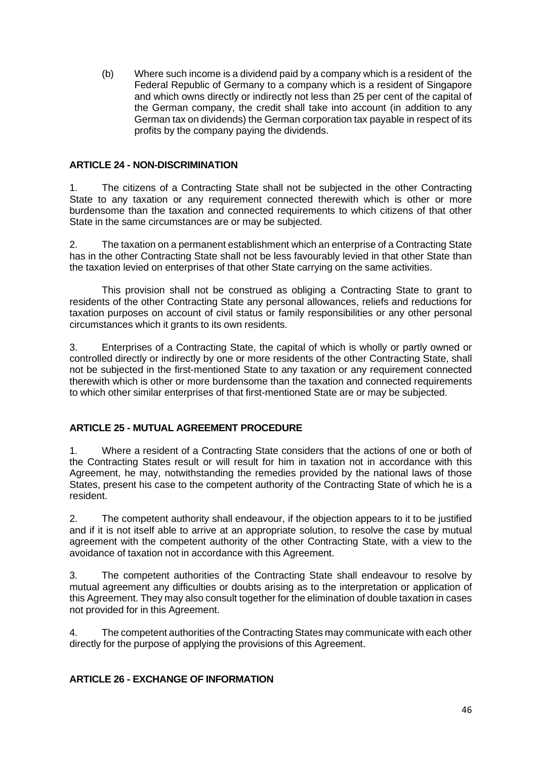(b) Where such income is a dividend paid by a company which is a resident of the Federal Republic of Germany to a company which is a resident of Singapore and which owns directly or indirectly not less than 25 per cent of the capital of the German company, the credit shall take into account (in addition to any German tax on dividends) the German corporation tax payable in respect of its profits by the company paying the dividends.

## **ARTICLE 24 - NON-DISCRIMINATION**

1. The citizens of a Contracting State shall not be subjected in the other Contracting State to any taxation or any requirement connected therewith which is other or more burdensome than the taxation and connected requirements to which citizens of that other State in the same circumstances are or may be subjected.

2. The taxation on a permanent establishment which an enterprise of a Contracting State has in the other Contracting State shall not be less favourably levied in that other State than the taxation levied on enterprises of that other State carrying on the same activities.

This provision shall not be construed as obliging a Contracting State to grant to residents of the other Contracting State any personal allowances, reliefs and reductions for taxation purposes on account of civil status or family responsibilities or any other personal circumstances which it grants to its own residents.

3. Enterprises of a Contracting State, the capital of which is wholly or partly owned or controlled directly or indirectly by one or more residents of the other Contracting State, shall not be subjected in the first-mentioned State to any taxation or any requirement connected therewith which is other or more burdensome than the taxation and connected requirements to which other similar enterprises of that first-mentioned State are or may be subjected.

# **ARTICLE 25 - MUTUAL AGREEMENT PROCEDURE**

1. Where a resident of a Contracting State considers that the actions of one or both of the Contracting States result or will result for him in taxation not in accordance with this Agreement, he may, notwithstanding the remedies provided by the national laws of those States, present his case to the competent authority of the Contracting State of which he is a resident.

2. The competent authority shall endeavour, if the objection appears to it to be justified and if it is not itself able to arrive at an appropriate solution, to resolve the case by mutual agreement with the competent authority of the other Contracting State, with a view to the avoidance of taxation not in accordance with this Agreement.

3. The competent authorities of the Contracting State shall endeavour to resolve by mutual agreement any difficulties or doubts arising as to the interpretation or application of this Agreement. They may also consult together for the elimination of double taxation in cases not provided for in this Agreement.

4. The competent authorities of the Contracting States may communicate with each other directly for the purpose of applying the provisions of this Agreement.

# **ARTICLE 26 - EXCHANGE OF INFORMATION**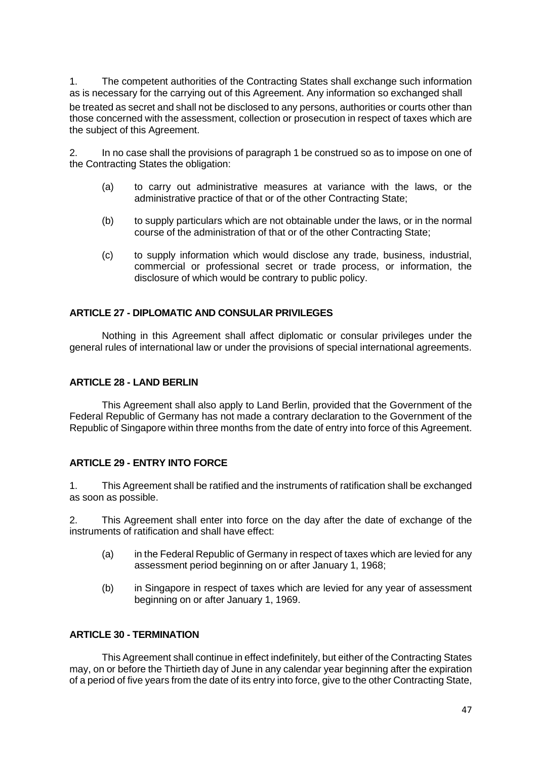1. The competent authorities of the Contracting States shall exchange such information as is necessary for the carrying out of this Agreement. Any information so exchanged shall

be treated as secret and shall not be disclosed to any persons, authorities or courts other than those concerned with the assessment, collection or prosecution in respect of taxes which are the subject of this Agreement.

2. In no case shall the provisions of paragraph 1 be construed so as to impose on one of the Contracting States the obligation:

- (a) to carry out administrative measures at variance with the laws, or the administrative practice of that or of the other Contracting State;
- (b) to supply particulars which are not obtainable under the laws, or in the normal course of the administration of that or of the other Contracting State;
- (c) to supply information which would disclose any trade, business, industrial, commercial or professional secret or trade process, or information, the disclosure of which would be contrary to public policy.

## **ARTICLE 27 - DIPLOMATIC AND CONSULAR PRIVILEGES**

Nothing in this Agreement shall affect diplomatic or consular privileges under the general rules of international law or under the provisions of special international agreements.

#### **ARTICLE 28 - LAND BERLIN**

This Agreement shall also apply to Land Berlin, provided that the Government of the Federal Republic of Germany has not made a contrary declaration to the Government of the Republic of Singapore within three months from the date of entry into force of this Agreement.

#### **ARTICLE 29 - ENTRY INTO FORCE**

1. This Agreement shall be ratified and the instruments of ratification shall be exchanged as soon as possible.

2. This Agreement shall enter into force on the day after the date of exchange of the instruments of ratification and shall have effect:

- (a) in the Federal Republic of Germany in respect of taxes which are levied for any assessment period beginning on or after January 1, 1968;
- (b) in Singapore in respect of taxes which are levied for any year of assessment beginning on or after January 1, 1969.

#### **ARTICLE 30 - TERMINATION**

This Agreement shall continue in effect indefinitely, but either of the Contracting States may, on or before the Thirtieth day of June in any calendar year beginning after the expiration of a period of five years from the date of its entry into force, give to the other Contracting State,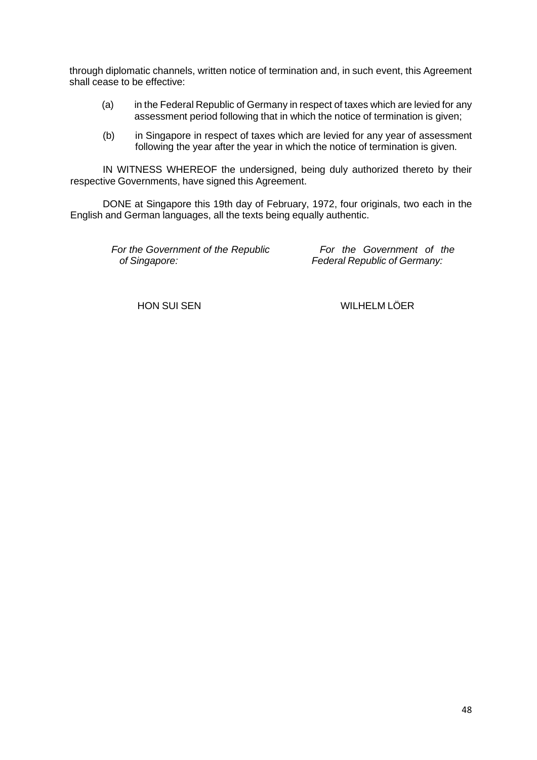through diplomatic channels, written notice of termination and, in such event, this Agreement shall cease to be effective:

- (a) in the Federal Republic of Germany in respect of taxes which are levied for any assessment period following that in which the notice of termination is given;
- (b) in Singapore in respect of taxes which are levied for any year of assessment following the year after the year in which the notice of termination is given.

IN WITNESS WHEREOF the undersigned, being duly authorized thereto by their respective Governments, have signed this Agreement.

DONE at Singapore this 19th day of February, 1972, four originals, two each in the English and German languages, all the texts being equally authentic.

> *For the Government of the Republic of Singapore:*

*For the Government of the Federal Republic of Germany:*

HON SUI SEN WILHELM LÖER